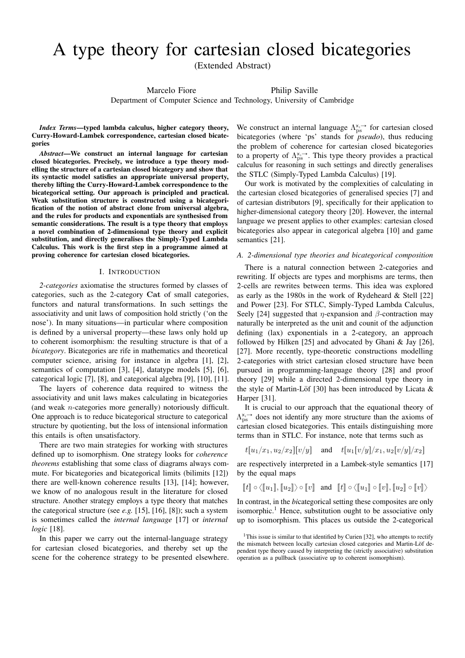# A type theory for cartesian closed bicategories

(Extended Abstract)

Marcelo Fiore Philip Saville

Department of Computer Science and Technology, University of Cambridge

*Index Terms*—typed lambda calculus, higher category theory, Curry-Howard-Lambek correspondence, cartesian closed bicategories

*Abstract*—We construct an internal language for cartesian closed bicategories. Precisely, we introduce a type theory modelling the structure of a cartesian closed bicategory and show that its syntactic model satisfies an appropriate universal property, thereby lifting the Curry-Howard-Lambek correspondence to the bicategorical setting. Our approach is principled and practical. Weak substitution structure is constructed using a bicategorification of the notion of abstract clone from universal algebra, and the rules for products and exponentials are synthesised from semantic considerations. The result is a type theory that employs a novel combination of 2-dimensional type theory and explicit substitution, and directly generalises the Simply-Typed Lambda Calculus. This work is the first step in a programme aimed at proving coherence for cartesian closed bicategories.

### I. INTRODUCTION

*2-categories* axiomatise the structures formed by classes of categories, such as the 2-category Cat of small categories, functors and natural transformations. In such settings the associativity and unit laws of composition hold strictly ('on the nose'). In many situations—in particular where composition is defined by a universal property—these laws only hold up to coherent isomorphism: the resulting structure is that of a *bicategory*. Bicategories are rife in mathematics and theoretical computer science, arising for instance in algebra [1], [2], semantics of computation [3], [4], datatype models [5], [6], categorical logic [7], [8], and categorical algebra [9], [10], [11].

The layers of coherence data required to witness the associativity and unit laws makes calculating in bicategories (and weak n-categories more generally) notoriously difficult. One approach is to reduce bicategorical structure to categorical structure by quotienting, but the loss of intensional information this entails is often unsatisfactory.

There are two main strategies for working with structures defined up to isomorphism. One strategy looks for *coherence theorems* establishing that some class of diagrams always commute. For bicategories and bicategorical limits (bilimits [12]) there are well-known coherence results [13], [14]; however, we know of no analogous result in the literature for closed structure. Another strategy employs a type theory that matches the categorical structure (see *e.g.* [15], [16], [8]); such a system is sometimes called the *internal language* [17] or *internal logic* [18].

In this paper we carry out the internal-language strategy for cartesian closed bicategories, and thereby set up the scene for the coherence strategy to be presented elsewhere. We construct an internal language  $\Lambda_{\rm ps}^{\rm x, \rightarrow}$  for cartesian closed bicategories (where 'ps' stands for *pseudo*), thus reducing the problem of coherence for cartesian closed bicategories to a property of  $\Lambda^{x, \rightarrow}_{ps}$ . This type theory provides a practical calculus for reasoning in such settings and directly generalises the STLC (Simply-Typed Lambda Calculus) [19].

Our work is motivated by the complexities of calculating in the cartesian closed bicategories of generalised species [7] and of cartesian distributors [9], specifically for their application to higher-dimensional category theory [20]. However, the internal language we present applies to other examples: cartesian closed bicategories also appear in categorical algebra [10] and game semantics [21].

### *A. 2-dimensional type theories and bicategorical composition*

There is a natural connection between 2-categories and rewriting. If objects are types and morphisms are terms, then 2-cells are rewrites between terms. This idea was explored as early as the 1980s in the work of Rydeheard & Stell [22] and Power [23]. For STLC, Simply-Typed Lambda Calculus, Seely [24] suggested that *η*-expansion and  $\beta$ -contraction may naturally be interpreted as the unit and counit of the adjunction defining (lax) exponentials in a 2-category, an approach followed by Hilken [25] and advocated by Ghani & Jay [26], [27]. More recently, type-theoretic constructions modelling 2-categories with strict cartesian closed structure have been pursued in programming-language theory [28] and proof theory [29] while a directed 2-dimensional type theory in the style of Martin-Löf [30] has been introduced by Licata  $\&$ Harper [31].

It is crucial to our approach that the equational theory of  $\Lambda_{\rm ps}^{\rm x, \rightarrow}$  does not identify any more structure than the axioms of cartesian closed bicategories. This entails distinguishing more terms than in STLC. For instance, note that terms such as

$$
t[u_1/x_1, u_2/x_2][v/y]
$$
 and  $t[u_1[v/y]/x_1, u_2[v/y]/x_2]$ 

are respectively interpreted in a Lambek-style semantics [17] by the equal maps

$$
\llbracket t \rrbracket \circ \langle \llbracket u_1 \rrbracket, \llbracket u_2 \rrbracket \rangle \circ \llbracket v \rrbracket \quad \text{and} \quad \llbracket t \rrbracket \circ \langle \llbracket u_1 \rrbracket \circ \llbracket v \rrbracket, \llbracket u_2 \rrbracket \circ \llbracket v \rrbracket \rangle
$$

In contrast, in the *bi*categorical setting these composites are only isomorphic.<sup>1</sup> Hence, substitution ought to be associative only up to isomorphism. This places us outside the 2-categorical

<sup>&</sup>lt;sup>1</sup>This issue is similar to that identified by Curien [32], who attempts to rectify the mismatch between locally cartesian closed categories and Martin-Löf dependent type theory caused by interpreting the (strictly associative) substitution operation as a pullback (associative up to coherent isomorphism).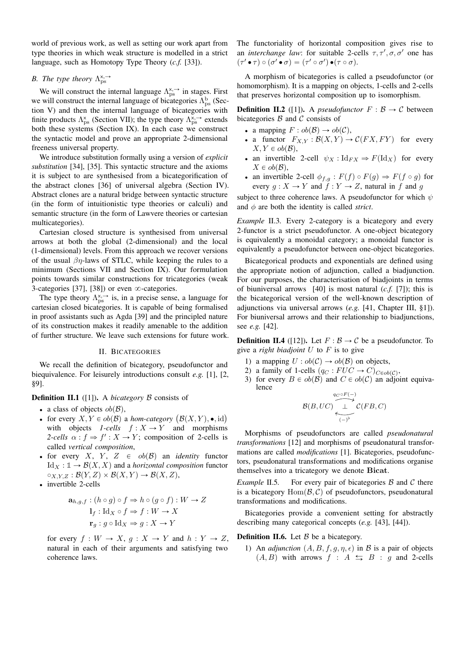world of previous work, as well as setting our work apart from type theories in which weak structure is modelled in a strict language, such as Homotopy Type Theory (*c.f.* [33]).

# *B.* The type theory  $\Lambda_{\text{ps}}^{x, \rightarrow}$

We will construct the internal language  $\Lambda_{\rm ps}^{\rm x, \rightarrow}$  in stages. First we will construct the internal language of bicategories  $\Lambda_{\rm ps}^{\rm b}$  (Section V) and then the internal language of bicategories with finite products  $\Lambda_{\text{ps}}^{\text{x}}$  (Section VII); the type theory  $\Lambda_{\text{ps}}^{\text{x},\rightarrow}$  extends both these systems (Section IX). In each case we construct the syntactic model and prove an appropriate 2-dimensional freeness universal property.

We introduce substitution formally using a version of *explicit substitution* [34], [35]. This syntactic structure and the axioms it is subject to are synthesised from a bicategorification of the abstract clones [36] of universal algebra (Section IV). Abstract clones are a natural bridge between syntactic structure (in the form of intuitionistic type theories or calculi) and semantic structure (in the form of Lawvere theories or cartesian multicategories).

Cartesian closed structure is synthesised from universal arrows at both the global (2-dimensional) and the local (1-dimensional) levels. From this approach we recover versions of the usual  $\beta\eta$ -laws of STLC, while keeping the rules to a minimum (Sections VII and Section IX). Our formulation points towards similar constructions for tricategories (weak 3-categories [37], [38]) or even  $\infty$ -categories.

The type theory  $\Lambda_{ps}^{x, \rightarrow}$  is, in a precise sense, a language for cartesian closed bicategories. It is capable of being formalised in proof assistants such as Agda [39] and the principled nature of its construction makes it readily amenable to the addition of further structure. We leave such extensions for future work.

### II. BICATEGORIES

We recall the definition of bicategory, pseudofunctor and biequivalence. For leisurely introductions consult *e.g.* [1], [2, §9].

### **Definition II.1** ([1]). A *bicategory*  $\beta$  consists of

- a class of objects  $ob(B)$ ,
- a class of objects  $ob(B)$ ,<br>• for every  $X, Y \in ob(B)$  a *hom-category*  $(B(X, Y), \bullet, id)$ with objects  $1\text{-}cells \quad f : X \to Y$  and morphisms 2-cells  $\alpha : f \Rightarrow f' : X \rightarrow Y$ ; composition of 2-cells is called *vertical composition*,
- $\bullet$  for every X, Y, Z  $\in$   $ob(B)$  an *identity* functor  $\mathrm{Id}_X : \mathbb{1} \to \mathcal{B}(X, X)$  and a *horizontal composition* functor  $\circ_{X,Y,Z} : \mathcal{B}(Y,Z) \times \mathcal{B}(X,Y) \to \mathcal{B}(X,Z),$
- invertible 2-cells

$$
\mathbf{a}_{h,g,f}: (h \circ g) \circ f \Rightarrow h \circ (g \circ f): W \to Z
$$

$$
\mathbf{l}_f: \mathrm{Id}_X \circ f \Rightarrow f: W \to X
$$

$$
\mathbf{r}_g: g \circ \mathrm{Id}_X \Rightarrow g: X \to Y
$$

for every  $f : W \to X$ ,  $g : X \to Y$  and  $h : Y \to Z$ , natural in each of their arguments and satisfying two coherence laws.

The functoriality of horizontal composition gives rise to an *interchange law*: for suitable 2-cells  $\tau$ ,  $\tau'$ ,  $\sigma$ ,  $\sigma'$  one has  $(\tau' \bullet \tau) \circ (\sigma' \bullet \sigma) = (\tau' \circ \sigma') \bullet (\tau \circ \sigma).$ 

A morphism of bicategories is called a pseudofunctor (or homomorphism). It is a mapping on objects, 1-cells and 2-cells that preserves horizontal composition up to isomorphism.

**Definition II.2** ([1]). A *pseudofunctor*  $F : \mathcal{B} \to \mathcal{C}$  between bicategories  $\beta$  and  $\beta$  consists of

- a mapping  $F : ob(\mathcal{B}) \to ob(\mathcal{C}),$
- a functor  $F_{X,Y} : \mathcal{B}(X,Y) \to \mathcal{C}(FX, FY)$  for every  $X, Y \in ob(\mathcal{B}),$
- an invertible 2-cell  $\psi_X : \text{Id}_{FX} \Rightarrow F(\text{Id}_X)$  for every  $X \in ob(\mathcal{B})$ ,
- an invertible 2-cell  $\phi_{f,g} : F(f) \circ F(g) \Rightarrow F(f \circ g)$  for every  $g: X \to Y$  and  $f: Y \to Z$ , natural in f and g

subject to three coherence laws. A pseudofunctor for which  $\psi$ and  $\phi$  are both the identity is called *strict*.

*Example* II.3*.* Every 2-category is a bicategory and every 2-functor is a strict pseudofunctor. A one-object bicategory is equivalently a monoidal category; a monoidal functor is equivalently a pseudofunctor between one-object bicategories.

Bicategorical products and exponentials are defined using the appropriate notion of adjunction, called a biadjunction. For our purposes, the characterisation of biadjoints in terms of biuniversal arrows [40] is most natural (*c.f.* [7]); this is the bicategorical version of the well-known description of adjunctions via universal arrows (*e.g.* [41, Chapter III, §1]). For biuniversal arrows and their relationship to biadjunctions, see *e.g.* [42].

**Definition II.4** ([12]). Let  $F : \mathcal{B} \to \mathcal{C}$  be a pseudofunctor. To give a *right biadjoint* U to F is to give

- 1) a mapping  $U : ob(\mathcal{C}) \to ob(\mathcal{B})$  on objects,
- 2) a family of 1-cells  $(q_C : FUC \rightarrow C)_{C\in ob(\mathcal{C})}$ ,
- 3) for every  $B \in ob(\mathcal{B})$  and  $C \in ob(\mathcal{C})$  an adjoint equivalence

$$
\mathcal{B}(B,UC) \overbrace{\longleftarrow\limits_{(-)^{\flat}}^{q_C \circ F(-)}}^{q_C \circ F(-)} \mathcal{C}(FB,C)
$$

Morphisms of pseudofunctors are called *pseudonatural transformations* [12] and morphisms of pseudonatural transformations are called *modifications* [1]. Bicategories, pseudofunctors, pseudonatural transformations and modifications organise themselves into a tricategory we denote Bicat.

*Example* II.5. For every pair of bicategories B and C there is a bicategory  $Hom(\mathcal{B}, \mathcal{C})$  of pseudofunctors, pseudonatural transformations and modifications.

Bicategories provide a convenient setting for abstractly describing many categorical concepts (*e.g.* [43], [44]).

### **Definition II.6.** Let  $\beta$  be a bicategory.

1) An *adjunction*  $(A, B, f, g, \eta, \epsilon)$  in B is a pair of objects  $(A, B)$  with arrows  $f : A \Leftrightarrow B : g$  and 2-cells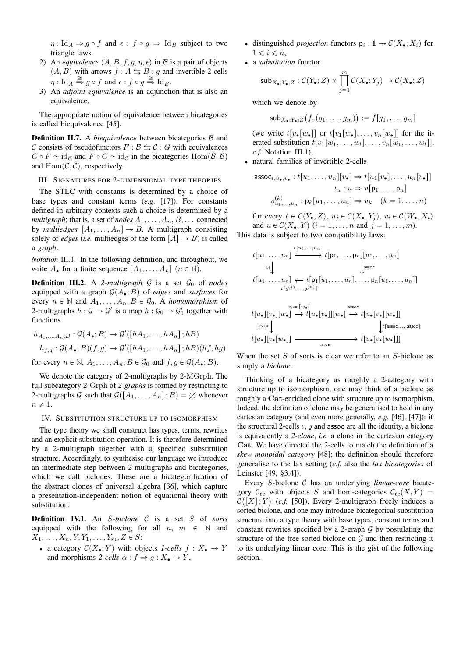$\eta: \text{Id}_A \Rightarrow g \circ f$  and  $\epsilon: f \circ g \Rightarrow \text{Id}_B$  subject to two triangle laws.

- 2) An *equivalence*  $(A, B, f, g, \eta, \epsilon)$  in B is a pair of objects  $(A, B)$  with arrows  $f : A \leftrightarrows B : g$  and invertible 2-cells  $\eta: \mathrm{Id}_A \stackrel{\cong}{\Rightarrow} g \circ f \text{ and } \epsilon: f \circ g \stackrel{\cong}{\Rightarrow} \mathrm{Id}_B.$
- 3) An *adjoint equivalence* is an adjunction that is also an equivalence.

The appropriate notion of equivalence between bicategories is called biequivalence [45].

**Definition II.7.** A *biequivalence* between bicategories B and C consists of pseudofunctors  $F : \mathcal{B} \leftrightarrows \mathcal{C} : G$  with equivalences  $G \circ F \simeq id_{\mathcal{B}}$  and  $F \circ G \simeq id_{\mathcal{C}}$  in the bicategories  $\text{Hom}(\mathcal{B}, \mathcal{B})$ and  $\text{Hom}(\mathcal{C}, \mathcal{C})$ , respectively.

#### III. SIGNATURES FOR 2-DIMENSIONAL TYPE THEORIES

The STLC with constants is determined by a choice of base types and constant terms (*e.g.* [17]). For constants defined in arbitrary contexts such a choice is determined by a *multigraph*; that is, a set of *nodes*  $A_1, \ldots, A_n, B, \ldots$  connected by *multiedges*  $[A_1, \ldots, A_n] \rightarrow B$ . A multigraph consisting solely of *edges* (*i.e.* multiedges of the form  $[A] \rightarrow B$ ) is called a *graph*.

*Notation* III.1*.* In the following definition, and throughout, we write  $A_{\bullet}$  for a finite sequence  $[A_1, \ldots, A_n]$   $(n \in \mathbb{N})$ .

**Definition III.2.** A 2-multigraph  $G$  is a set  $G_0$  of *nodes* equipped with a graph  $\mathcal{G}(A_{\bullet}; B)$  of *edges* and *surfaces* for every  $n \in \mathbb{N}$  and  $A_1, \ldots, A_n, B \in \mathcal{G}_0$ . A *homomorphism* of 2-multigraphs  $h : \mathcal{G} \to \mathcal{G}'$  is a map  $h : \mathcal{G}_0 \to \mathcal{G}'_0$  together with functions

$$
h_{A_1,\dots,A_n;B}: \mathcal{G}(A_{\bullet};B) \to \mathcal{G}'([hA_1,\dots,hA_n];hB)
$$

$$
h_{f,g}: \mathcal{G}(A_{\bullet};B)(f,g) \to \mathcal{G}'([hA_1,\dots,hA_n];hB)(hf,hg)
$$

for every  $n \in \mathbb{N}$ ,  $A_1, \ldots, A_n$ ,  $B \in \mathcal{G}_0$  and  $f, g \in \mathcal{G}(A_{\bullet}; B)$ .

We denote the category of 2-multigraphs by 2-MGrph. The full subcategory 2-Grph of *2-graphs* is formed by restricting to 2-multigraphs G such that  $\mathcal{G}([A_1, \ldots, A_n]; B) = \emptyset$  whenever  $n \neq 1$ .

### IV. SUBSTITUTION STRUCTURE UP TO ISOMORPHISM

The type theory we shall construct has types, terms, rewrites and an explicit substitution operation. It is therefore determined by a 2-multigraph together with a specified substitution structure. Accordingly, to synthesise our language we introduce an intermediate step between 2-multigraphs and bicategories, which we call biclones. These are a bicategorification of the abstract clones of universal algebra [36], which capture a presentation-independent notion of equational theory with substitution.

Definition IV.1. An S*-biclone* C is a set S of *sorts* equipped with the following for all  $n, m \in \mathbb{N}$  and  $X_1, \ldots, X_n, Y, Y_1, \ldots, Y_m, Z \in S$ :

• a category  $C(X_{\bullet}; Y)$  with objects *1-cells*  $f : X_{\bullet} \to Y$ and morphisms 2-cells  $\alpha : f \Rightarrow g : X_{\bullet} \to Y$ ,

- distinguished *projection* functors  $p_i : \mathbb{1} \to C(X_{\bullet}; X_i)$  for  $1 \leq i \leq n$ ,
- ' a *substitution* functor

$$
\mathsf{sub}_{X_\bullet;Y_\bullet;Z}: \mathcal{C}(Y_\bullet;Z) \times \prod_{j=1}^m \mathcal{C}(X_\bullet;Y_j) \to \mathcal{C}(X_\bullet;Z)
$$

which we denote by

$$
\mathsf{sub}_{X_\bullet;Y_\bullet;Z}\big(f,(g_1,\ldots,g_m)\big):=f[g_1,\ldots,g_m]
$$

(we write  $t[v_{\bullet}[w_{\bullet}]]$  or  $t[v_1[w_{\bullet}], \ldots, v_n[w_{\bullet}]]$  for the iterated substitution  $t[v_1[w_1, \ldots, w_l], \ldots, v_n[w_1, \ldots, w_l]],$ *c.f.* Notation III.1),

' natural families of invertible 2-cells

$$
\mathsf{assoc}_{t,u_{\bullet},v_{\bullet}}: t[u_1,\ldots,u_n][v_{\bullet}] \Rightarrow t[u_1[v_{\bullet}],\ldots,u_n[v_{\bullet}]]
$$

$$
\iota_u: u \Rightarrow u[\mathsf{p}_1,\ldots,\mathsf{p}_n]
$$

$$
\varrho_{u_1,\ldots,u_n}^{(k)}: \mathsf{p}_k[u_1,\ldots,u_n] \Rightarrow u_k \quad (k = 1,\ldots,n)
$$

for every  $t \in C(Y_{\bullet}, Z)$ ,  $u_j \in C(X_{\bullet}, Y_j)$ ,  $v_i \in C(W_{\bullet}, X_i)$ and  $u \in \mathcal{C}(X_{\bullet}, Y)$   $(i = 1, ..., n$  and  $j = 1, ..., m$ ). This data is subject to two compatibility laws:



When the set  $S$  of sorts is clear we refer to an  $S$ -biclone as simply a *biclone*.

Thinking of a bicategory as roughly a 2-category with structure up to isomorphism, one may think of a biclone as roughly a Cat-enriched clone with structure up to isomorphism. Indeed, the definition of clone may be generalised to hold in any cartesian category (and even more generally, *e.g.* [46], [47]): if the structural 2-cells  $\iota$ ,  $\rho$  and assoc are all the identity, a biclone is equivalently a *2-clone*, *i.e.* a clone in the cartesian category Cat. We have directed the 2-cells to match the definition of a *skew monoidal category* [48]; the definition should therefore generalise to the lax setting (*c.f.* also the *lax bicategories* of Leinster [49, §3.4]).

Every S-biclone C has an underlying *linear-core* bicategory  $\mathcal{C}_{\ell c}$  with objects S and hom-categories  $\mathcal{C}_{\ell c}(X, Y) =$  $\mathcal{C}([X];Y)$  (*c.f.* [50]). Every 2-multigraph freely induces a sorted biclone, and one may introduce bicategorical substitution structure into a type theory with base types, constant terms and constant rewrites specified by a 2-graph  $G$  by postulating the structure of the free sorted biclone on  $G$  and then restricting it to its underlying linear core. This is the gist of the following section.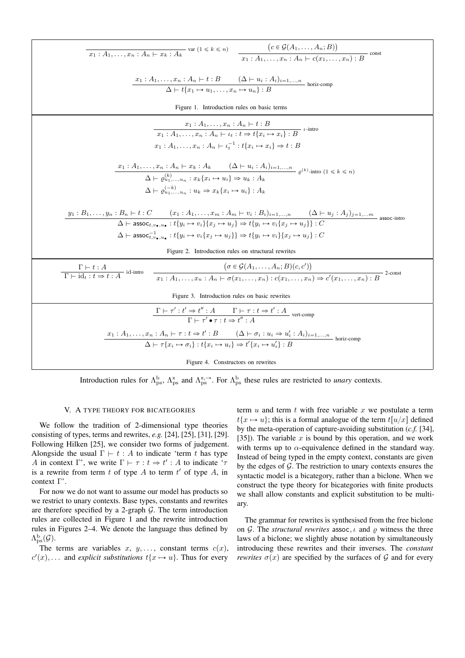| $\frac{}{x_1: A_1, \ldots, x_n: A_n \vdash x_k: A_k}$ var $(1 \le k \le n)$ $\frac{(c \in \mathcal{G}(A_1, \ldots, A_n; B))}{x_1: A_1, \ldots, x_n: A_n \vdash c(x_1, \ldots, x_n): B}$ const                                                                                                                                                                                                                                                                                         |  |  |
|---------------------------------------------------------------------------------------------------------------------------------------------------------------------------------------------------------------------------------------------------------------------------------------------------------------------------------------------------------------------------------------------------------------------------------------------------------------------------------------|--|--|
| $\frac{x_1:A_1,\ldots,x_n:A_n\vdash t:B\qquad (\Delta\vdash u_i:A_i)_{i=1,\ldots,n}}{\Delta\vdash t\{x_1\mapsto u_1,\ldots,x_n\mapsto u_n\}:B}$ horiz-comp                                                                                                                                                                                                                                                                                                                            |  |  |
| Figure 1. Introduction rules on basic terms                                                                                                                                                                                                                                                                                                                                                                                                                                           |  |  |
| $\frac{x_1:A_1,\ldots,x_n:A_n\vdash t:B}{x_1:A_1,\ldots,x_n:A_n\vdash t:t\Rightarrow t\{x_i\mapsto x_i\}:B} \iota\text{-intro}$<br>$x_1 : A_1, \ldots, x_n : A_n \vdash \iota_*^{-1} : t\{x_i \mapsto x_i\} \Rightarrow t : B$                                                                                                                                                                                                                                                        |  |  |
| $x_1: A_1, \ldots, x_n: A_n \vdash x_k: A_k \qquad (\Delta \vdash u_i: A_i)_{i=1,\ldots,n}$<br>$\Delta \vdash \varrho_{u_1,\ldots,u_n}^{(k)}: x_k \{x_i \mapsto u_i\} \Rightarrow u_k: A_k$<br>$e^{(k)}$ -intro $(1 \leq k \leq n)$<br>$\Delta \vdash \rho_{u_1,\ldots,u_n}^{(-k)} : u_k \Rightarrow x_k \{x_i \mapsto u_i\} : A_k$                                                                                                                                                   |  |  |
| $\underbrace{y_1:B_1,\ldots,y_n:B_n\vdash t:C} (\underline{x_1:A_1,\ldots,x_m:A_m\vdash v_i:B_i})_{i=1,\ldots,n} (\Delta \vdash u_j:A_j)_{j=1,\ldots,m} \over \Delta \vdash \mathsf{assoc}_{t,v_\bullet,u_\bullet}: t\{y_i \mapsto v_i\}\{x_i \mapsto u_j\} \Rightarrow t\{y_i \mapsto v_i\{x_i \mapsto u_j\}\} : C$<br>$\Delta \vdash \mathsf{assoc}_{t,v_\bullet,u_\bullet}^{-1} : t\{y_i \mapsto v_i\{x_j \mapsto u_j\}\} \Rightarrow t\{y_i \mapsto v_i\}\{x_j \mapsto u_j\} : C$ |  |  |
| Figure 2. Introduction rules on structural rewrites                                                                                                                                                                                                                                                                                                                                                                                                                                   |  |  |
| $(\sigma \in \mathcal{G}(A_1, \ldots, A_n; B)(c, c'))$<br>$\frac{\Gamma\vdash t:A}{\Gamma\vdash \text{id}_t:t\Rightarrow t:A}$ id-intro<br>$\frac{(\sigma\in\mathcal{G}(A_1,\ldots,A_n;B)(c,c'))}{x_1:A_1,\ldots,x_n:A_n\vdash\sigma(x_1,\ldots,x_n):c(x_1,\ldots,x_n)\Rightarrow c'(x_1,\ldots,x_n):B}$ 2-const                                                                                                                                                                      |  |  |
| Figure 3. Introduction rules on basic rewrites                                                                                                                                                                                                                                                                                                                                                                                                                                        |  |  |
| $\frac{\Gamma \vdash \tau' : t' \Rightarrow t'' : A \qquad \Gamma \vdash \tau : t \Rightarrow t' : A}{\Gamma \vdash \tau' \bullet \tau : t \Rightarrow t'' : A}$ vert-comp                                                                                                                                                                                                                                                                                                            |  |  |
| $\underbrace{x_1:A_1,\ldots,x_n:A_n\vdash\tau:t\Rightarrow t':B\qquad (\Delta\vdash\sigma_i:u_i\Rightarrow u_i':A_i)_{i=1,\ldots,n}}\Delta\vdash\tau\{x_i\mapsto\sigma_i\} : \{x_i\mapsto u_i\}\Rightarrow t'\{x_i\mapsto u_i'\}:B$ horiz-comp                                                                                                                                                                                                                                        |  |  |
| Figure 4. Constructors on rewrites                                                                                                                                                                                                                                                                                                                                                                                                                                                    |  |  |

Introduction rules for  $\Lambda_{\text{ps}}^{\text{b}}$ ,  $\Lambda_{\text{ps}}^{\text{x}}$  and  $\Lambda_{\text{ps}}^{\text{x},\rightarrow}$ . For  $\Lambda_{\text{ps}}^{\text{b}}$  these rules are restricted to *unary* contexts.

### V. A TYPE THEORY FOR BICATEGORIES

We follow the tradition of 2-dimensional type theories consisting of types, terms and rewrites,  $e.g.$  [24], [25], [31], [29]. Following Hilken [25], we consider two forms of judgement. Alongside the usual  $\Gamma \vdash t : A$  to indicate 'term t has type A in context  $\Gamma$ , we write  $\Gamma \vdash \tau : t \Rightarrow t' : A$  to indicate ' $\tau$ is a rewrite from term  $t$  of type  $A$  to term  $t'$  of type  $A$ , in context  $\Gamma$ .

For now we do not want to assume our model has products so we restrict to unary contexts. Base types, constants and rewrites are therefore specified by a 2-graph  $G$ . The term introduction rules are collected in Figure 1 and the rewrite introduction rules in Figures 2–4. We denote the language thus defined by  $\Lambda_{\rm ps}^{\rm b}(\mathcal{G}).$ 

The terms are variables x, y, ..., constant terms  $c(x)$ ,  $c'(x)$ ,... and explicit substitutions  $t\{x \mapsto u\}$ . Thus for every

term  $u$  and term  $t$  with free variable  $x$  we postulate a term  $t\{x \mapsto u\}$ ; this is a formal analogue of the term  $t[u/x]$  defined by the meta-operation of capture-avoiding substitution  $(c.f. [34],$ [35]). The variable x is bound by this operation, and we work with terms up to  $\alpha$ -equivalence defined in the standard way. Instead of being typed in the empty context, constants are given by the edges of  $G$ . The restriction to unary contexts ensures the syntactic model is a bicategory, rather than a biclone. When we construct the type theory for bicategories with finite products we shall allow constants and explicit substitution to be multiary.

The grammar for rewrites is synthesised from the free biclone on G. The *structural rewrites* assoc,  $\iota$  and  $\rho$  witness the three laws of a biclone; we slightly abuse notation by simultaneously introducing these rewrites and their inverses. The *constant rewrites*  $\sigma(x)$  are specified by the surfaces of G and for every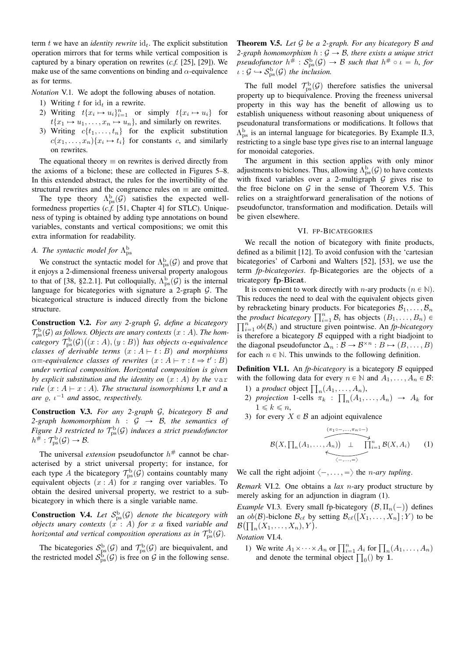term t we have an *identity rewrite*  $id_t$ . The explicit substitution operation mirrors that for terms while vertical composition is captured by a binary operation on rewrites (*c.f.* [25], [29]). We make use of the same conventions on binding and  $\alpha$ -equivalence as for terms.

*Notation* V.1*.* We adopt the following abuses of notation.

- 1) Writing  $t$  for  $id_t$  in a rewrite.
- 2) Writing  $t\{x_i \mapsto u_i\}_{i=1}^n$  or simply  $t\{x_i \mapsto u_i\}$  for  $t\{x_1 \mapsto u_1, \ldots, x_n \mapsto u_n\}$ , and similarly on rewrites.
- 3) Writing  $c\{t_1, \ldots, t_n\}$  for the explicit substitution  $c(x_1, \ldots, x_n) \{x_i \mapsto t_i\}$  for constants c, and similarly on rewrites.

The equational theory  $\equiv$  on rewrites is derived directly from the axioms of a biclone; these are collected in Figures 5–8. In this extended abstract, the rules for the invertibility of the structural rewrites and the congruence rules on  $\equiv$  are omitted.

The type theory  $\Lambda_{ps}^{b}(\mathcal{G})$  satisfies the expected wellformedness properties (*c.f.* [51, Chapter 4] for STLC). Uniqueness of typing is obtained by adding type annotations on bound variables, constants and vertical compositions; we omit this extra information for readability.

# A. The syntactic model for  $\Lambda^{\mathrm{b}}_{\mathrm{ps}}$

We construct the syntactic model for  $\Lambda_{ps}^{b}(\mathcal{G})$  and prove that it enjoys a 2-dimensional freeness universal property analogous to that of [38, §2.2.1]. Put colloquially,  $\Lambda_{ps}^{b}(\mathcal{G})$  is the internal language for bicategories with signature a 2-graph G. The bicategorical structure is induced directly from the biclone structure.

Construction V.2. *For any 2-graph* G*, define a bicategory*  $\mathcal{T}_\mathrm{ps}^\mathrm{b}(\mathcal{G})$  as follows. Objects are unary contexts  $(x : A)$ . The hom- $\stackrel{\text{c} \text{category}}{\mathcal{T}}^{\text{b}}_{\text{ps}}(\mathcal{G})\big((x : A), (y : B)\big)$  has objects  $\alpha$ -equivalence *classes of derivable terms*  $(x : A \rightarrow t : B)$  *and morphisms*  $\alpha \equiv$ -equivalence classes of rewrites  $(x : A \vdash \tau : t \Rightarrow t' : B)$ *under vertical composition. Horizontal composition is given by explicit substitution and the identity on*  $(x : A)$  *by the* var *rule*  $(x : A \vdash x : A)$ *. The structural isomorphisms* l, r *and* a *are*  $\varrho$ ,  $\iota^{-1}$  *and* assoc, *respectively.* 

Construction V.3. *For any 2-graph* G*, bicategory* B *and 2-graph homomorphism*  $h : G \rightarrow B$ *, the semantics of Figure 13 restricted to*  $\mathcal{T}_{\mathrm{ps}}^{\mathrm{b}}(\mathcal{G})$  *induces a strict pseudofunctor*  $h^{\#} : \mathcal{T}_{\text{ps}}^{\text{b}}(\mathcal{G}) \to \mathcal{B}.$ 

The universal *extension* pseudofunctor  $h^{\#}$  cannot be characterised by a strict universal property; for instance, for each type A the bicategory  $\mathcal{T}_{\text{ps}}^{\text{b}}(\mathcal{G})$  contains countably many equivalent objects  $(x : A)$  for x ranging over variables. To obtain the desired universal property, we restrict to a subbicategory in which there is a single variable name.

**Construction V.4.** Let  $S_{\text{ps}}^{\text{b}}(\mathcal{G})$  denote the bicategory with *objects unary contexts*  $(x : A)$  *for* x *a* fixed *variable and horizontal and vertical composition operations as in*  $\mathcal{T}_{\text{ps}}^{\text{b}}(\mathcal{G})$ *.* 

The bicategories  $S_{\text{ps}}^{\text{b}}(\mathcal{G})$  and  $\mathcal{T}_{\text{ps}}^{\text{b}}(\mathcal{G})$  are biequivalent, and the restricted model  $S^{\text{b}}_{\text{ps}}(\mathcal{G})$  is free on  $\mathcal{G}$  in the following sense. Theorem V.5. *Let* G *be a 2-graph. For any bicategory* B *and 2-graph homomorphism*  $h : \mathcal{G} \rightarrow \mathcal{B}$ *, there exists a unique strict*  $pseudofunctor\,\, h^{\#}\,:\mathcal{S}_{\rm ps}^{\rm b}(\mathcal{G})\rightarrow \mathcal{B}$  such that  $h^{\#}\circ \iota\,=\,h,$  for  $\iota : \mathcal{G} \hookrightarrow \mathcal{S}_{\text{ps}}^{\text{b}}(\mathcal{G})$  the inclusion.

The full model  $\mathcal{T}_{\text{ps}}^{\text{b}}(\mathcal{G})$  therefore satisfies the universal property up to biequivalence. Proving the freeness universal property in this way has the benefit of allowing us to establish uniqueness without reasoning about uniqueness of pseudonatural transformations or modifications. It follows that  $\Lambda_{\text{ps}}^{\text{b}}$  is an internal language for bicategories. By Example II.3, restricting to a single base type gives rise to an internal language for monoidal categories.

The argument in this section applies with only minor adjustments to biclones. Thus, allowing  $\Lambda_{\rm ps}^{\rm b}(\mathcal{G})$  to have contexts with fixed variables over a 2-multigraph  $G$  gives rise to the free biclone on  $G$  in the sense of Theorem V.5. This relies on a straightforward generalisation of the notions of pseudofunctor, transformation and modification. Details will be given elsewhere.

### VI. FP-BICATEGORIES

We recall the notion of bicategory with finite products, defined as a bilimit [12]. To avoid confusion with the 'cartesian bicategories' of Carboni and Walters [52], [53], we use the term *fp-bicategories*. fp-Bicategories are the objects of a tricategory fp-Bicat.

It is convenient to work directly with *n*-ary products  $(n \in \mathbb{N})$ . This reduces the need to deal with the equivalent objects given by rebracketing binary products. For bicategories  $B_1, \ldots, B_n$ by rebracketing binary products. For bicategories  $B_1, \ldots, B_n$ <br>the *product bicategory*  $\prod_{i=1}^n \mathcal{B}_i$  has objects  $(B_1, \ldots, B_n)$  $\sum_{i=1}^{n} ob(\mathcal{B}_i)$  and structure given pointwise. An *fp-bicategory* is therefore a bicategory  $B$  equipped with a right biadjoint to the diagonal pseudofunctor  $\Delta_n : \mathcal{B} \to \mathcal{B}^{\times n} : B \mapsto (B, \dots, B)$ for each  $n \in \mathbb{N}$ . This unwinds to the following definition.

**Definition VI.1.** An *fp-bicategory* is a bicategory *B* equipped with the following data for every  $n \in \mathbb{N}$  and  $A_1, \ldots, A_n \in \mathcal{B}$ :

- In the following data for every  $n \in \mathbb{N}$ <br>1) a *product* object  $\prod_n (A_1, \ldots, A_n)$ ,  $\cdot$
- 2) *projection* 1-cells  $\pi_k$  :  $A_n(A_1,\ldots,A_n) \rightarrow A_k$  for  $1 \leq k \leq n$ .
- 3) for every  $X \in \mathcal{B}$  an adjoint equivalence

$$
\mathcal{B}(X,\prod_n(A_1,\ldots,A_n)) \perp \prod_{i=1}^{(\pi_1\circ\cdots,\pi_n\circ\cdots)} \mathcal{B}(X,A_i)
$$
 (1)

We call the right adjoint  $\langle -, \ldots, = \rangle$  the *n-ary tupling*.

*Remark* VI.2*.* One obtains a *lax* n-ary product structure by merely asking for an adjunction in diagram (1).

*Example* VI.3. Every small fp-bicategory  $(\mathcal{B}, \Pi_n(-))$  defines an  $ob(\mathcal{B})$ -biclone  $\mathcal{B}_{c\ell}$  by setting  $\mathcal{B}_{c\ell}([X_1, \ldots, X_n] ; Y)$  to be an  $ob(B)$ -biclone  $\mathcal{B}_{c\ell}$  by<br> $\mathcal{B}(\prod_n(X_1,\ldots,X_n), Y)$ .

*Notation* VI.4*.*

If the Wildman vi.4.<br>
1) We write  $A_1 \times \cdots \times A_n$  or  $\prod_{i=1}^n A_i$  for  $\prod_n (A_1, \ldots, A_n)$ We write  $A_1 \times \cdots \times A_n$  or  $\prod_{i=1}^n A_i$  for  $\prod_n \binom{n}{i}$ <br>and denote the terminal object  $\prod_0 \binom{n}{i}$  by 1.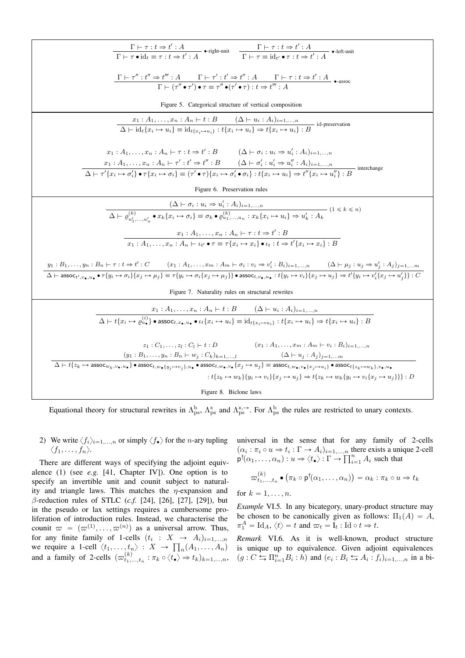| $\frac{\Gamma\vdash \tau : t\Rightarrow t': A}{\Gamma\vdash \tau \bullet \mathsf{id}_t \equiv \tau : t\Rightarrow t': A} \bullet \text{-right-unit} \qquad \frac{\Gamma\vdash \tau : t\Rightarrow t': A}{\Gamma\vdash \tau \equiv \mathsf{id}_{t'} \bullet \tau : t\Rightarrow t': A} \bullet \text{-left-unit}$                                                                                                                                                                                                               |  |  |
|--------------------------------------------------------------------------------------------------------------------------------------------------------------------------------------------------------------------------------------------------------------------------------------------------------------------------------------------------------------------------------------------------------------------------------------------------------------------------------------------------------------------------------|--|--|
| $\frac{\Gamma\vdash \tau'' : t'' \Rightarrow t''' : A \qquad \Gamma\vdash \tau' : t' \Rightarrow t'' : A \qquad \Gamma\vdash \tau : t \Rightarrow t' : A}{\Gamma\vdash (\tau''\bullet\tau')\bullet\tau\equiv \tau''\bullet(\tau'\bullet\tau) : t \Rightarrow t'' : A} \n\text{ -assoc}$                                                                                                                                                                                                                                        |  |  |
| Figure 5. Categorical structure of vertical composition                                                                                                                                                                                                                                                                                                                                                                                                                                                                        |  |  |
| $x_1 : A_1, \ldots, x_n : A_n \vdash t : B \qquad (\Delta \vdash u_i : A_i)_{i=1,\ldots,n}$<br>$\Delta \vdash \mathrm{id}_t \{x_i \mapsto u_i\} \equiv \mathrm{id}_{t\{x_i \mapsto u_i\}} : t\{x_i \mapsto u_i\} \Rightarrow t\{x_i \mapsto u_i\} : B$ id-preservation                                                                                                                                                                                                                                                         |  |  |
| $x_1: A_1, \ldots, x_n: A_n \vdash \tau : t \Rightarrow t': B$ $(\Delta \vdash \sigma_i : u_i \Rightarrow u'_i: A_i)_{i=1,\ldots,n}$<br>$x_1: A_1, \ldots, x_n: A_n \vdash \tau': t' \Rightarrow t'': B \qquad (\Delta \vdash \sigma'_i: u'_i \Rightarrow u''_i: A_i)_{i=1,\ldots,n}$<br>$\Delta \vdash \tau'\{x_i \mapsto \sigma'_i\} \bullet \tau\{x_i \mapsto \sigma_i\} \equiv (\tau' \bullet \tau)\{x_i \mapsto \sigma'_i \bullet \sigma_i\} : t\{x_i \mapsto u_i\} \Rightarrow t''\{x_i \mapsto u''_i\} : B$ interchange |  |  |
| Figure 6. Preservation rules                                                                                                                                                                                                                                                                                                                                                                                                                                                                                                   |  |  |
| $(\Delta \vdash \sigma_i : u_i \Rightarrow u'_i : A_i)_{i=1,,n}$<br>$\Delta \vdash \varrho_{u'_1,,u'_n}^{(k)} \bullet x_k \{x_i \mapsto \sigma_i\} \equiv \sigma_k \bullet \varrho_{u_1,,u_n}^{(k)} : x_k \{x_i \mapsto u_i\} \Rightarrow u'_k : A_k \tag{1 \leq k \leq n}$                                                                                                                                                                                                                                                    |  |  |
| $x_1:A_1,\ldots,x_n:A_n\vdash \tau:t\Rightarrow t':B$                                                                                                                                                                                                                                                                                                                                                                                                                                                                          |  |  |
| $x_1: A_1, \ldots, x_n: A_n \vdash \iota_{t'} \bullet \tau \equiv \tau \{x_i \mapsto x_i\} \bullet \iota_t: t \Rightarrow t' \{x_i \mapsto x_i\}: B$                                                                                                                                                                                                                                                                                                                                                                           |  |  |
|                                                                                                                                                                                                                                                                                                                                                                                                                                                                                                                                |  |  |
| $\underbrace{y_1: B_1, \ldots, y_n: B_n \vdash \tau : t \Rightarrow t': C \qquad (x_1: A_1, \ldots, x_m: A_m \vdash \sigma_i : v_i \Rightarrow v_i': B_i)_{i=1, \ldots, n} \qquad (\Delta \vdash \mu_j : u_j \Rightarrow u_j': A_j)_{j=1, \ldots, m}}_{\Delta \vdash \; \text{assoc}_{t', v_{\bullet}, u_{\bullet}} \bullet \; \tau \{y_i \mapsto \sigma_i\} \{x_j \mapsto \mu_j\} \equiv \tau \{y_i \mapsto \sigma_i\{x_j \mapsto \mu_j\}\} \bullet \mathsf{assoc}_{t, v_{\bullet}, u_{\bullet}} : t \$                       |  |  |
| Figure 7. Naturality rules on structural rewrites                                                                                                                                                                                                                                                                                                                                                                                                                                                                              |  |  |
| $x_1 : A_1, \ldots, x_n : A_n \vdash t : B$ $(\Delta \vdash u_i : A_i)_{i=1,\ldots,n}$                                                                                                                                                                                                                                                                                                                                                                                                                                         |  |  |
| $\Delta \vdash t\{x_i \mapsto \varrho_{u_\bullet}^{(i)}\}\bullet \mathsf{assoc}_{t,x_\bullet,u_\bullet}\bullet \iota_t\{x_i \mapsto u_i\} \equiv \mathrm{id}_{t\{x_i \mapsto u_i\}}: t\{x_i \mapsto u_i\} \Rightarrow t\{x_i \mapsto u_i\}: B$                                                                                                                                                                                                                                                                                 |  |  |
|                                                                                                                                                                                                                                                                                                                                                                                                                                                                                                                                |  |  |
| $z_1: C_1, \ldots, z_l: C_l \vdash t: D$ $(x_1: A_1, \ldots, x_m: A_m \vdash v_i: B_i)_{i=1,\ldots,n}$                                                                                                                                                                                                                                                                                                                                                                                                                         |  |  |
| $(y_1 : B_1, \ldots, y_n : B_n \vdash w_j : C_k)_{k=1,\ldots,l} \frac{(\Delta \vdash u_j : A_j)_{j=1,\ldots,m}}{\Delta \vdash t \{z_k \mapsto \mathsf{assoc}_{w_k, v_{\bullet}, u_{\bullet}}\} \bullet \mathsf{assoc}_{t, w_{\bullet}}\{y_j \mapsto v_j\}, u_{\bullet} \bullet \mathsf{assoc}_{t, w_{\bullet}, v_{\bullet}}\{x_j \mapsto u_j\}} \equiv \mathsf{assoc}_{t, w_{\bullet}, v_{\bullet}}\{x_j \mapsto u_i\} \bullet \mathsf{assoc}_{t\{z_k \mapsto w_k\}, v_{\bullet}, u_{\bullet}}$                                |  |  |
| $:t\{z_k \mapsto w_k\}\{y_i \mapsto v_i\}\{x_j \mapsto u_j\} \Rightarrow t\{z_k \mapsto w_k\{y_i \mapsto v_i\{x_j \mapsto u_j\}\}\} : D$                                                                                                                                                                                                                                                                                                                                                                                       |  |  |
| Figure 8. Biclone laws                                                                                                                                                                                                                                                                                                                                                                                                                                                                                                         |  |  |

Equational theory for structural rewrites in  $\Lambda_{\rm ps}^{\rm b}$ ,  $\Lambda_{\rm ps}^{\rm x}$  and  $\Lambda_{\rm ps}^{\rm x, \rightarrow}$ . For  $\Lambda_{\rm ps}^{\rm b}$  the rules are restricted to unary contexts.

2) We write  $\langle f_i \rangle_{i=1,...,n}$  or simply  $\langle f_{\bullet} \rangle$  for the *n*-ary tupling  $\langle f_1,\ldots,f_n\rangle$ .

There are different ways of specifying the adjoint equivalence  $(1)$  (see e.g.  $[41,$  Chapter IV]). One option is to specify an invertible unit and counit subject to naturality and triangle laws. This matches the  $\eta$ -expansion and  $\beta$ -reduction rules of STLC (*c.f.* [24], [26], [27], [29]), but in the pseudo or lax settings requires a cumbersome proliferation of introduction rules. Instead, we characterise the counit  $\varpi = (\varpi^{(1)}, \ldots, \varpi^{(n)})$  as a universal arrow. Thus, for any finite family of 1-cells  $(t_i : X \to A_i)_{i=1,...,n}$ <br>we require a 1-cell  $\langle t_1,...,t_n \rangle : X \to \prod_n (A_1,...,A_n)$ <br>and a family of 2-cells  $(\varpi_{t_1,...,t_n}^{(k)} : \pi_k \circ \langle t_{\bullet} \rangle \Rightarrow t_k)_{k=1,...,n}$ 

universal in the sense that for any family of 2-cells  $(\alpha_i : \pi_i \circ u \Rightarrow t_i : \Gamma \to A_i)_{i=1,...,n}$  there exists a unique 2-cell  $\mathsf{p}^{\dagger}(\alpha_1, ..., \alpha_n) : u \Rightarrow \langle t_{\bullet} \rangle : \Gamma \to \prod_{i=1}^n A_i$  such that

$$
\varpi_{t_1,\ldots,t_n}^{(k)} \bullet (\pi_k \circ \mathsf{p}^{\dagger}(\alpha_1,\ldots,\alpha_n)) = \alpha_k : \pi_k \circ u \Rightarrow t_k
$$

for  $k = 1, \ldots, n$ .

*Example VI.5.* In any bicategory, unary-product structure may be chosen to be canonically given as follows:  $\Pi_1(A) = A$ ,  $\pi_1^A = \text{Id}_A, \langle t \rangle = t$  and  $\varpi_t = \mathbf{I}_t : \text{Id} \circ t \Rightarrow t$ .

Remark VI.6. As it is well-known, product structure is unique up to equivalence. Given adjoint equivalences  $(g: C \rightharpoonup \prod_{i=1}^n B_i : h)$  and  $(e_i: B_i \rightharpoonup A_i : f_i)_{i=1,...,n}$  in a bi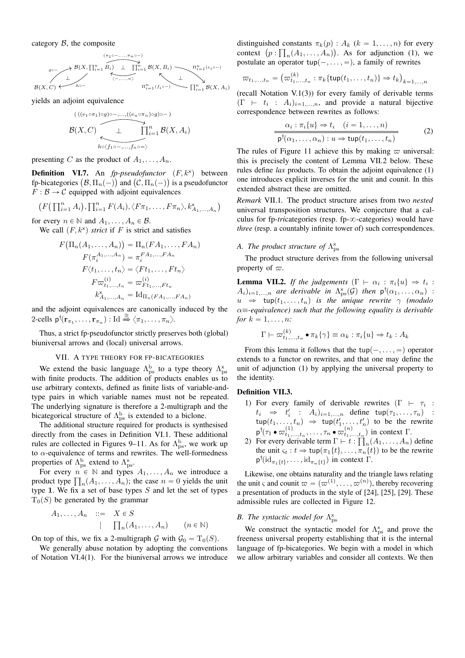category  $\beta$ , the composite

$$
\mathcal{B}(X,C) \longleftrightarrow \begin{matrix} (\pi_1 \circ \cdots, \pi_n \circ \neg) \\ \mathcal{B}(X,\prod_{i=1}^n B_i) & \bigsqcup_{i=1}^n \mathcal{B}(X,B_i) \\ \hline \langle \neg \cdots, \neg \rangle & \wedge \\ \mathcal{B}(X,C) & \cdots \end{matrix} \xrightarrow{\Pi_{i=1}^n B(X,B_i)} \begin{matrix} \Pi_{i=1}^n(e_i \circ \neg) \\ \hline \vdots \\ \Pi_{i=1}^n B(X,A_i) \end{matrix}
$$

yields an adjoint equivalence

$$
\mathcal{B}(X,C) \downarrow \bigcap_{h \triangleleft f_1 \circ \cdots, f_n \circ \cdots \circ f_n \circ \cdots \circ f_n \circ \cdots \circ f_n \circ \cdots \circ f_n \circ \cdots \circ f_n \circ \cdots \circ f_n \circ \cdots \circ f_n \circ \cdots \circ f_n \circ \cdots \circ f_n \circ \cdots \circ f_n \circ \cdots \circ f_n \circ \cdots \circ f_n \circ \cdots \circ f_n \circ \cdots \circ f_n \circ \cdots \circ f_n \circ \cdots \circ f_n \circ \cdots \circ f_n \circ \cdots \circ f_n \circ \cdots \circ f_n \circ \cdots \circ f_n \circ \cdots \circ f_n \circ \cdots \circ f_n \circ \cdots \circ f_n \circ \cdots \circ f_n \circ \cdots \circ f_n \circ \cdots \circ f_n \circ \cdots \circ f_n \circ \cdots \circ f_n \circ \cdots \circ f_n \circ \cdots \circ f_n \circ \cdots \circ f_n \circ \cdots \circ f_n \circ \cdots \circ f_n \circ \cdots \circ f_n \circ \cdots \circ f_n \circ \cdots \circ f_n \circ \cdots \circ f_n \circ \cdots \circ f_n \circ \cdots \circ f_n \circ \cdots \circ f_n \circ \cdots \circ f_n \circ \cdots \circ f_n \circ \cdots \circ f_n \circ \cdots \circ f_n \circ \cdots \circ f_n \circ \cdots \circ f_n \circ \cdots \circ f_n \circ \cdots \circ f_n \circ \cdots \circ f_n \circ \cdots \circ f_n \circ \cdots \circ f_n \circ \cdots \circ f_n \circ \cdots \circ f_n \circ \cdots \circ f_n \circ \cdots \circ f_n \circ \cdots \circ f_n \circ \cdots \circ f_n \circ \cdots \circ f_n \circ \cdots \circ f_n \circ \cdots \circ f_n \circ \cdots \circ f_n \circ \cdots \circ f_n \circ \cdots \circ f_n \circ \cdots \circ f_n \circ \cdots \circ f_n \circ \cdots \circ f_n \circ \cdots \circ f_n \circ \cdots \circ f_n \circ \cdots \circ f_n \circ \cdots \circ f_n \circ \cdots \circ f_n \circ \cdots \circ f_n \circ \cdots \circ f_n \circ \cdots \circ f_n \circ \cdots \circ f_n \circ \cdots \circ f_n \circ \cdots \circ f_n \circ \cdots \circ f_n \circ \cdots \circ f_n \circ \cdots \circ f_n \circ \cdots \circ f_n
$$

presenting C as the product of  $A_1, \ldots, A_n$ .

**Definition VI.7.** An  $fp$ -pseudofunctor  $(F, k^x)$  between **Definition** VI.7. An *fp-pseudofunctor*  $(F, k^x)$  between fp-bicategories  $(B, \Pi_n(-))$  and  $(C, \Pi_n(-))$  is a pseudofunctor  $F : \mathcal{B} \to \mathcal{C}$  equipped with adjoint equivalences

$$
(F\left(\prod_{i=1}^n A_i\right), \prod_{i=1}^n F(A_i), \langle F\pi_1, \ldots, F\pi_n \rangle, k_{A_1,\ldots,A_n}^{\times}\right)
$$

for every  $n \in \mathbb{N}$  and  $A_1, \ldots, A_n \in \mathcal{B}$ . We call  $(F, k^*)$  *strict* if F is strict and satisfies

$$
F(\Pi_n(A_1, \ldots, A_n)) = \Pi_n(FA_1, \ldots, FA_n)
$$
  
\n
$$
F(\pi_i^{A_1, \ldots, A_n}) = \pi_i^{FA_1, \ldots, FA_n}
$$
  
\n
$$
F\langle t_1, \ldots, t_n \rangle = \langle Ft_1, \ldots, Ft_n \rangle
$$
  
\n
$$
F\varpi_{t_1, \ldots, t_n}^{(i)} = \varpi_{Ft_1, \ldots, Ft_n}^{(i)}
$$
  
\n
$$
k_{A_1, \ldots, A_n}^{\times} = \mathrm{Id}_{\Pi_n(FA_1, \ldots, FA_n)}
$$

and the adjoint equivalences are canonically induced by the 2-cells  $p^{\dagger}(\mathbf{r}_{\pi_1},...,\mathbf{r}_{\pi_n}) : \text{Id} \stackrel{\cong}{\Rightarrow} \langle \pi_1,...,\pi_n \rangle.$ 

Thus, a strict fp-pseudofunctor strictly preserves both (global) biuniversal arrows and (local) universal arrows.

### VII. A TYPE THEORY FOR FP-BICATEGORIES

We extend the basic language  $\Lambda_{ps}^{b}$  to a type theory  $\Lambda_{ps}^{x}$  with finite products. The addition of products enables us to use arbitrary contexts, defined as finite lists of variable-andtype pairs in which variable names must not be repeated. The underlying signature is therefore a 2-multigraph and the bicategorical structure of  $\Lambda_{\text{ps}}^{\text{b}}$  is extended to a biclone.

The additional structure required for products is synthesised directly from the cases in Definition VI.1. These additional rules are collected in Figures 9–11. As for  $\Lambda_{ps}^{b}$ , we work up to  $\alpha$ -equivalence of terms and rewrites. The well-formedness properties of  $\Lambda_{\text{ps}}^{\text{b}}$  extend to  $\Lambda_{\text{ps}}^{\text{x}}$ .

For every  $n \in \mathbb{N}$  and types  $A_1, \ldots, A_n$  we introduce a For every  $n \in \mathbb{N}$  and types  $A_1, \ldots, A_n$  we introduce a product type  $\prod_n (A_1, \ldots, A_n)$ ; the case  $n = 0$  yields the unit type 1. We fix a set of base types  $S$  and let the set of types  $T_0(S)$  be generated by the grammar

$$
A_1, \ldots, A_n \quad ::= \quad X \in S
$$

$$
\mid \quad \prod_n (A_1, \ldots, A_n) \qquad (n \in \mathbb{N})
$$

On top of this, we fix a 2-multigraph G with  $\mathcal{G}_0 = T_0(S)$ .

We generally abuse notation by adopting the conventions of Notation VI.4(1). For the biuniversal arrows we introduce

distinguished constants  $\pi_k(p)$  :  $A_k$  ( $k = 1, \ldots, n$ ) for every distinguished constants  $\pi_k(p)$ :  $A_k$  ( $k = 1, ..., n$ ) for every context  $(p: \prod_n(A_1, ..., A_n))$ . As for adjunction (1), we postulate an operator  $\text{tup}(-, \ldots, =)$ , a family of rewrites

$$
\varpi_{t_1,...,t_n} = (\varpi_{t_1,...,t_n}^{(k)} : \pi_k \{ \text{tup}(t_1,...,t_n) \} \Rightarrow t_k)_{k=1,...,n}
$$

(recall Notation V.1(3)) for every family of derivable terms  $(\Gamma \vdash t_i : A_i)_{i=1,...,n}$ , and provide a natural bijective correspondence between rewrites as follows:

$$
\frac{\alpha_i : \pi_i\{u\} \Rightarrow t_i \quad (i = 1, \dots, n)}{\mathsf{p}^\dagger(\alpha_1, \dots, \alpha_n) : u \Rightarrow \mathsf{tup}(t_1, \dots, t_n)}\tag{2}
$$

The rules of Figure 11 achieve this by making  $\varpi$  universal: this is precisely the content of Lemma VII.2 below. These rules define *lax* products. To obtain the adjoint equivalence (1) one introduces explicit inverses for the unit and counit. In this extended abstract these are omitted.

*Remark* VII.1*.* The product structure arises from two *nested* universal transposition structures. We conjecture that a calculus for fp-*tricategories* (resp. fp- $\infty$ -categories) would have *three* (resp. a countably infinite tower of) such correspondences.

# *A. The product structure of*  $\Lambda_{\text{ps}}^{\text{x}}$

The product structure derives from the following universal property of  $\varpi$ .

**Lemma VII.2.** *If the judgements*  $(\Gamma \vdash \alpha_i : \pi_i\{u\} \Rightarrow t_i :$  $A_i)_{i=1,...,n}$  are derivable in  $\Lambda_{ps}^{\times}(\mathcal{G})$  then  $p^{\dagger}(\alpha_1,...,\alpha_n)$  :  $u \Rightarrow \text{tup}(t_1, \ldots, t_n)$  *is the unique rewrite*  $\gamma$  *(modulo* α"*-equivalence) such that the following equality is derivable for*  $k = 1, ..., n$ *:* 

$$
\Gamma \vdash \varpi_{t_1,\ldots,t_n}^{(k)} \bullet \pi_k\{\gamma\} \equiv \alpha_k : \pi_i\{u\} \Rightarrow t_k : A_k
$$

From this lemma it follows that the tup $(-, \ldots, =)$  operator extends to a functor on rewrites, and that one may define the unit of adjunction (1) by applying the universal property to the identity.

#### Definition VII.3.

- 1) For every family of derivable rewrites  $(\Gamma \vdash \tau_i :$  $t_i \Rightarrow t'_i$  :  $A_i)_{i=1,...,n}$  define tup $(\tau_1,...,\tau_n)$  :  $\tanctan(t_1, \ldots, t_n) \Rightarrow \tan(t'_1, \ldots, t'_n)$  to be the rewrite  $p^{\dagger}(\tau_1 \bullet \varpi^{(1)}_{t_1,\dots,t_n}, \dots, \tau_n \bullet \varpi^{(n)}_{t_1,\dots,t_n})$  in context  $\Gamma$ .  $,t_n$
- 2) For every derivable term  $\Gamma \vdash t$  :  $I_n(A_1,\ldots,A_n)$  define the unit  $\varsigma_t : t \Rightarrow \text{tup}(\pi_1\{t\}, \dots, \pi_n\{t\})$  to be the rewrite  $p^{\dagger}(\mathrm{id}_{\pi_1\{t\}},\ldots,\mathrm{id}_{\pi_n\{t\}})$  in context  $\Gamma$ .

Likewise, one obtains naturality and the triangle laws relating the unit  $\varsigma$  and counit  $\varpi = (\varpi^{(1)}, \dots, \varpi^{(n)})$ , thereby recovering a presentation of products in the style of [24], [25], [29]. These admissible rules are collected in Figure 12.

# *B. The syntactic model for*  $\Lambda_{ps}^{\times}$

We construct the syntactic model for  $\Lambda_{\text{ps}}^{\text{x}}$  and prove the freeness universal property establishing that it is the internal language of fp-bicategories. We begin with a model in which we allow arbitrary variables and consider all contexts. We then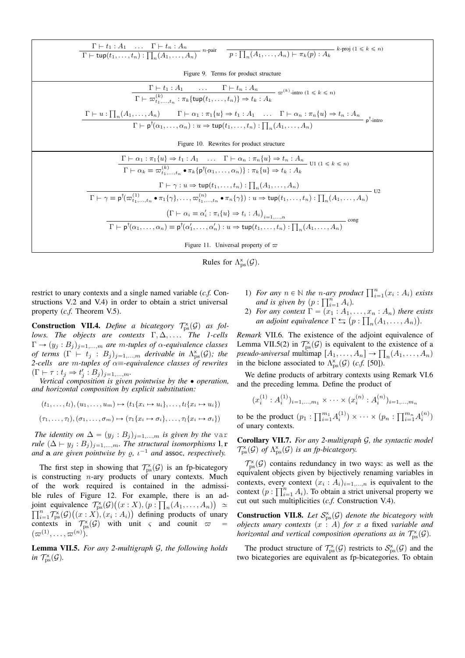| $\frac{\Gamma\vdash t_1:A_1\quad \ldots \quad \Gamma\vdash t_n:A_n}{\Gamma\vdash \textsf{tupp}(t_1,\ldots,t_n):\prod_n(A_1,\ldots,A_n)}\quad n\text{-pair}\quad \frac{}{\mathcal{p}:\prod_n(A_1,\ldots,A_n)\vdash \pi_k(p):A_k}\quad k\text{-proj }(1\leqslant k\leqslant n)}$                                                                                     |  |  |
|--------------------------------------------------------------------------------------------------------------------------------------------------------------------------------------------------------------------------------------------------------------------------------------------------------------------------------------------------------------------|--|--|
| Figure 9. Terms for product structure                                                                                                                                                                                                                                                                                                                              |  |  |
| $\Gamma \vdash t_1 : A_1 \quad \dots \quad \Gamma \vdash t_n : A_n$<br>$\Gamma \vdash \varpi_{t_1, \dots, t_n}^{(k)} : \pi_k \{ \text{tup}(t_1, \dots, t_n) \} \Rightarrow t_k : A_k$<br>$\varpi^{(k)}$ -intro $(1 \leq k \leq n)$                                                                                                                                 |  |  |
| $\Gamma \vdash u : \prod_n (A_1, \ldots, A_n)$ $\Gamma \vdash \alpha_1 : \pi_1\{u\} \Rightarrow t_1 : A_1$ $\ldots$ $\Gamma \vdash \alpha_n : \pi_n\{u\} \Rightarrow t_n : A_n$<br>$\Gamma \vdash p^{\dagger}(\alpha_1, \ldots, \alpha_n): u \Rightarrow \text{tup}(t_1, \ldots, t_n): \prod_n (A_1, \ldots, A_n)$                                                 |  |  |
| Figure 10. Rewrites for product structure                                                                                                                                                                                                                                                                                                                          |  |  |
| $\Gamma \vdash \alpha_1 : \pi_1\{u\} \Rightarrow t_1 : A_1 \quad \ldots \quad \Gamma \vdash \alpha_n : \pi_n\{u\} \Rightarrow t_n : A_n$<br>Ul $(1 \leq k \leq n)$<br>$\Gamma \vdash \alpha_k \equiv \varpi_{t_1,\ldots,t_n}^{(k)} \bullet \pi_k \{ \mathsf{p}^\dagger(\alpha_1,\ldots,\alpha_n) \} : \pi_k \{u\} \Rightarrow t_k : A_k$                           |  |  |
| $\Gamma \vdash \gamma : u \Rightarrow \text{tup}(t_1, \ldots, t_n) : \prod_n (A_1, \ldots, A_n)$<br>U <sub>2</sub><br>$\Gamma \vdash \gamma \equiv \mathsf{p}^{\dagger}(\varpi_{t_1,\ldots,t_n}^{(1)} \bullet \pi_1\{\gamma\},\ldots,\varpi_{t_1,\ldots,t_n}^{(n)} \bullet \pi_n\{\gamma\}): u \Rightarrow \mathsf{tup}(t_1,\ldots,t_n): \prod_n (A_1,\ldots,A_n)$ |  |  |
| $(\Gamma \vdash \alpha_i \equiv \alpha'_i : \pi_i\{u\} \Rightarrow t_i : A_i)_{i=1,,n}$<br>cong<br>$\Gamma \vdash p^{\dagger}(\alpha_1,\ldots,\alpha_n) \equiv p^{\dagger}(\alpha'_1,\ldots,\alpha'_n): u \Rightarrow \text{tup}(t_1,\ldots,t_n): \prod (A_1,\ldots,A_n)$                                                                                          |  |  |
| Figure 11. Universal property of $\varpi$                                                                                                                                                                                                                                                                                                                          |  |  |



restrict to unary contexts and a single named variable (c.f. Constructions V.2 and V.4) in order to obtain a strict universal property  $(c.f.$  Theorem V.5).

**Construction VII.4.** Define a bicategory  $\mathcal{T}_{\text{ps}}^{\times}(\mathcal{G})$  as follows. The objects are contexts  $\Gamma, \Delta, \ldots$  The 1-cells  $\Gamma \rightarrow (y_j : B_j)_{j=1,...,m}$  are m-tuples of  $\alpha$ -equivalence classes of terms  $(\Gamma \vdash t_j : B_j)_{j=1,...,m}$  derivable in  $\Lambda_{ps}^{\times}(\mathcal{G})$ ; the 2-cells are m-tuples of  $\alpha \equiv$ -equivalence classes of rewrites  $(\Gamma \vdash \tau : t_j \Rightarrow t'_j : B_j)_{j=1,...,m}.$ 

Vertical composition is given pointwise by the  $\bullet$  operation, and horizontal composition by explicit substitution:

$$
(t_1, \ldots, t_l), (u_1, \ldots, u_m) \mapsto (t_1\{x_i \mapsto u_i\}, \ldots, t_l\{x_i \mapsto u_i\})
$$

$$
(\tau_1, \ldots, \tau_l), (\sigma_1, \ldots, \sigma_m) \mapsto (\tau_1\{x_i \mapsto \sigma_i\}, \ldots, \tau_l\{x_i \mapsto \sigma_i\})
$$

The identity on  $\Delta = (y_j : B_j)_{j=1,...,m}$  is given by the var rule  $(\Delta \vdash y_j : B_j)_{j=1,...,m}$ . The structural isomorphisms 1, r and a are given pointwise by  $\rho$ ,  $\iota^{-1}$  and assoc, respectively.

The first step in showing that  $\mathcal{T}_{\text{ps}}^{\times}(\mathcal{G})$  is an fp-bicategory is constructing  $n$ -ary products of unary contexts. Much of the work required is contained in the admissible rules of Figure 12. For example, there is an adjoint equivalence  $\mathcal{T}_{\text{ps}}^{\text{x}}(\mathcal{G})((x:X), (p:\prod_{n}(A_1,\ldots,A_n)) \simeq$  $\prod_{i=1}^n \mathcal{T}_{\text{ps}}^{\times}(\mathcal{G})((x : X), (x_i : A_i))$  defining products of unary contexts in  $\mathcal{T}_{\text{ps}}^{\times}(\mathcal{G})$  with unit  $\varsigma$  and counit  $\varpi$ <br>  $(\varpi^{(1)},...,\varpi^{(n)}).$ 

**Lemma VII.5.** For any 2-multigraph G, the following holds in  $\mathcal{T}_{\text{ps}}^{\times}(\mathcal{G})$ .

- 1) For any  $n \in \mathbb{N}$  the *n*-ary product  $\prod_{i=1}^{n} (x_i : A_i)$  exists and is given by  $(p : \prod_{i=1}^{n} A_i)$ .
- 2) For any context  $\Gamma = (x_1 : A_1, \ldots, x_n : A_n)$  there exists an adjoint equivalence  $\Gamma \leftrightarrows (p : \prod_n (A_1, \ldots, A_n)).$

Remark VII.6. The existence of the adjoint equivalence of Lemma VII.5(2) in  $\mathcal{T}_{\text{ps}}^{\times}(\mathcal{G})$  is equivalent to the existence of a pseudo-universal multimap  $[A_1, \ldots, A_n] \to \prod_n (A_1, \ldots, A_n)$ in the biclone associated to  $\Lambda_{\text{ps}}^{\times}(\mathcal{G})$  (*c.f.* [50]).

We define products of arbitrary contexts using Remark VI.6 and the preceding lemma. Define the product of

$$
x_i^{(1)}: A_i^{(1)})_{i=1,\dots,m_1} \times \cdots \times (x_i^{(n)}: A_i^{(n)})_{i=1,\dots,m_n}
$$

to be the product  $(p_1: \prod_{i=1}^{m_1} A_i^{(1)}) \times \cdots \times (p_n: \prod_{i=1}^{m_n} A_i^{(n)})$ of unary contexts.

**Corollary VII.7.** For any 2-multigraph  $G$ , the syntactic model  $\mathcal{T}_{\text{ps}}^{\text{x}}(\mathcal{G})$  of  $\Lambda_{\text{ps}}^{\text{x}}(\mathcal{G})$  is an fp-bicategory.

 $\mathcal{T}_{\text{ns}}^{\times}(\mathcal{G})$  contains redundancy in two ways: as well as the equivalent objects given by bijectively renaming variables in contexts, every context  $(x_i : A_i)_{i=1,...,n}$  is equivalent to the context  $(p: \prod_{i=1}^n A_i)$ . To obtain a strict universal property we cut out such multiplicities (c.f. Construction V.4).

**Construction VII.8.** Let  $S_{\text{ps}}^{\times}(\mathcal{G})$  denote the bicategory with objects unary contexts  $(x : A)$  for x a fixed variable and horizontal and vertical composition operations as in  $\mathcal{T}_{\text{ns}}^{\times}(\mathcal{G})$ .

The product structure of  $\mathcal{T}_{\text{ps}}^{\times}(\mathcal{G})$  restricts to  $\mathcal{S}_{\text{ps}}^{\times}(\mathcal{G})$  and the two bicategories are equivalent as fp-bicategories. To obtain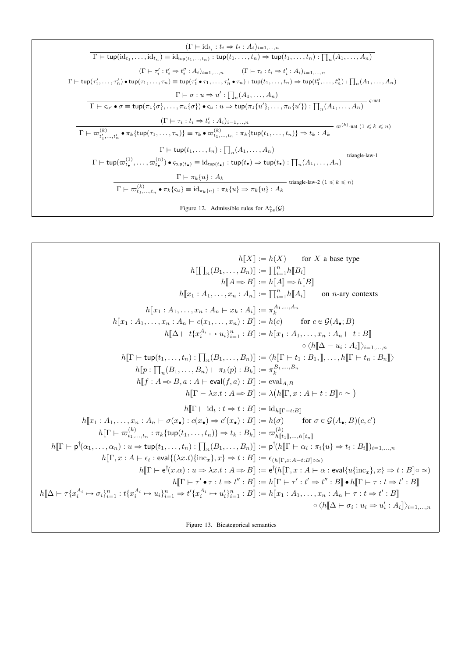$$
\frac{(\Gamma \vdash id_{t_i}: t_i \Rightarrow t_i : A_i)_{i=1,...,n}}{\Gamma \vdash \text{tup}(\text{id}_{t_1},..., \text{id}_{t_n})} \equiv \text{id}_{\text{tup}(t_1,...,t_n)} : \text{tup}(t_1,...,t_n) \Rightarrow \text{tup}(t_1,...,t_n) : \prod_n (A_1,...,A_n)
$$
\n
$$
\frac{(\Gamma \vdash \tau'_i : t'_i \Rightarrow t''_i : A_i)_{i=1,...,n}}{\Gamma \vdash \text{tup}(\tau'_1,...,\tau'_n) \bullet \text{tup}(\tau_1,...,\tau_n) \equiv \text{tup}(\tau'_1 \bullet \tau_1,...,\tau'_n \bullet \tau_n) : \text{tup}(t_1,...,t_n) \Rightarrow \text{tup}(t''_1,...,t''_n) : \prod_n (A_1,...,A_n)}
$$
\n
$$
\frac{\Gamma \vdash \sigma : u \Rightarrow u' : \prod_n (A_1,...,A_n)}{\Gamma \vdash \varsigma_{u'} \bullet \sigma \equiv \text{tup}(\pi_1 \{\sigma\},..., \pi_n \{\sigma\}) \bullet \varsigma_{u} : u \Rightarrow \text{tup}(\pi_1 \{u'\},..., \pi_n \{u'\}) : \prod_n (A_1,...,A_n)} \text{s-nat}
$$
\n
$$
\frac{(\Gamma \vdash \tau_i : t_i \Rightarrow t'_i : A_i)_{i=1,...,n}}{\Gamma \vdash \varpi_{t_1,...,t_n}^{(k)}} \bullet \pi_k \{\text{tup}(\tau_1,...,\tau_n)\} \equiv \tau_k \bullet \varpi_{t_1,...,t_n}^{(k)} : \pi_k \{\text{tup}(t_1,...,t_n)\} \Rightarrow t_k : A_k} \Rightarrow \varpi^{(k)} \text{-nat} \ (1 \le k \le n)
$$
\n
$$
\frac{\Gamma \vdash \text{tup}(t_1,...,t_n) : \prod_n (A_1,...,A_n)}{\Gamma \vdash \text{tup}(\varpi_{t_1}^{(1)},..., \varpi_{t_n}^{(n)}) \bullet \text{tup}(t_{\bullet}) \equiv \text{id}_{\text{tup}(t_{\bullet})} : \text{tup}(t_{\bullet}) \Rightarrow \text{tup}(t_{\bullet}) : \prod_n (A_1,...,A_n)} \text{triangle-law-1}
$$
\n
$$
\frac{\Gamma \vdash \tau_k \{u\} : A_k}{\Gamma \vdash \varpi_{t_
$$

$$
h[X] := h(X) \text{ for } X \text{ a base type}
$$
\n
$$
h[\prod_{n}(B_{1},...,B_{n})]] := [\prod_{i=1}^{n}h[B_{i}]]
$$
\n
$$
h[[A \Rightarrow B]] := h[[A]] \Rightarrow h[[B]
$$
\n
$$
h[[x_{1}:A_{1},...,x_{n}:A_{n}]-x_{k}:A_{n}] ] := [\prod_{i=1}^{n}h[A_{i}]] \text{ on } n\text{-ary contexts}
$$
\n
$$
h[[x_{1}:A_{1},...,x_{n}:A_{n}-c(x_{1},...,x_{n}):B] := h(c) \text{ for } c \in \mathcal{G}(A_{\bullet};B)
$$
\n
$$
h[[\Delta \vdash t(x_{i}^{A_{i}} \rightarrow u_{i})_{i=1}^{n} : B] := h[[x_{1}:A_{1},...,x_{n}:A_{n} \vdash t : B]]
$$
\n
$$
h[[\Gamma \vdash \text{tup}(t_{1},...,t_{n}): \prod_{n}(B_{1},...,B_{n})]] := \langle h[[\Gamma \vdash t_{1}:B_{1},],...,h[[\Gamma \vdash t_{n}:B_{n}]] \rangle
$$
\n
$$
h[[\Gamma \vdash \text{tup}(t_{1},...,t_{n}): \prod_{n}(B_{1},...,B_{n})]] := \langle h[[\Gamma \vdash t_{1}:B_{1},],...,h[[\Gamma \vdash t_{n}:B_{n}]] \rangle
$$
\n
$$
h[[\Gamma \vdash \lambda x.t : A \Rightarrow B]] := \forall h[[x_{1}:A \vdash t : B] \rangle
$$
\n
$$
h[[\Gamma \vdash \lambda x.t : A \Rightarrow B]] := \exists h([x_{1}:A \vdash t : B] \rangle
$$
\n
$$
h[[\Gamma \vdash \lambda x.t : A \Rightarrow B]] := \exists h([x_{1}:A \vdash t : B] \rangle
$$
\n
$$
h[[\Gamma \vdash \sigma_{t_{1}},...,x_{n}:A_{n} \vdash \sigma(x_{n}): c(x_{n}) \Rightarrow c'(x_{n}): B] = [h(\sigma) \text{ for } \sigma \in \mathcal{G}(A_{\bullet},B)(c,c')
$$
\n
$$
h[[\Gamma \vdash \sigma_{t_{1}},...,x_{n}:A_{n} \vdash \sigma(x_{n}): c(x_{n}) \Rightarrow c'(x_{n}): B] = [h(\sigma) \text{ for } \sigma \in
$$

Figure 13. Bicategorical semantics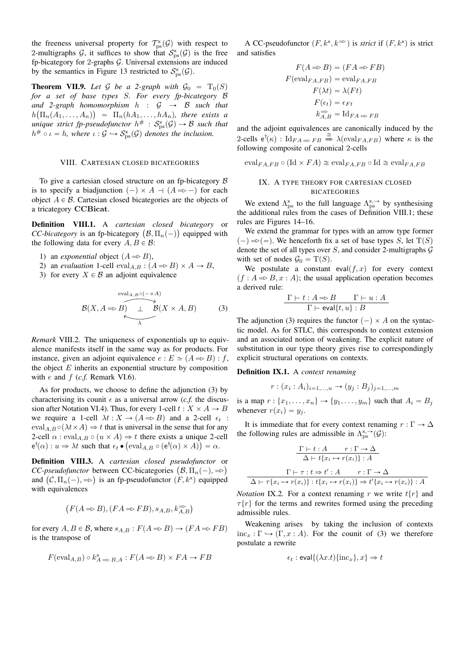the freeness universal property for  $\mathcal{T}_{\text{ps}}^{\times}(\mathcal{G})$  with respect to 2-multigraphs G, it suffices to show that  $S_{\text{ps}}^{\text{x}}(\mathcal{G})$  is the free fp-bicategory for 2-graphs  $G$ . Universal extensions are induced by the semantics in Figure 13 restricted to  $S_{\rm ps}^{\rm x}(\mathcal{G})$ .

**Theorem VII.9.** Let G be a 2-graph with  $\mathcal{G}_0 = T_0(S)$ *for a set of base types* S*. For every fp-bicategory* B and 2-graph homomorphism  $h : G \rightarrow B$  such that  $h\big(\Pi_n(A_1,\ldots,A_n)\big)$  =  $\Pi_n(hA_1,\ldots,hA_n)$ , there exists a unique strict fp-pseudofunctor  $h^\# \, : \, \mathcal{S}^{\times}_{\mathrm{ps}}(\mathcal{G}) \to \mathcal{B}$  such that  $h^{\#} \circ \iota = h$ , where  $\iota : \mathcal{G} \hookrightarrow \mathcal{S}_{\mathrm{ps}}^{\times}(\mathcal{G})$  denotes the inclusion.

### VIII. CARTESIAN CLOSED BICATEGORIES

To give a cartesian closed structure on an fp-bicategory  $\beta$ is to specify a biadjunction  $(-) \times A + (A \Rightarrow -)$  for each object  $A \in \mathcal{B}$ . Cartesian closed bicategories are the objects of a tricategory CCBicat.

Definition VIII.1. A *cartesian closed bicategory* or **Definition** VIII.1. A *cartesian closed bicategory* or *CC-bicategory* is an fp-bicategory  $(\mathcal{B}, \Pi_n(-))$  equipped with the following data for every  $A, B \in \mathcal{B}$ :

- 1) an *exponential* object  $(A \Rightarrow B)$ ,
- 2) an *evaluation* 1-cell  $eval_{A,B}: (A \Rightarrow B) \times A \rightarrow B$ ,
- 3) for every  $X \in \mathcal{B}$  an adjoint equivalence

$$
\mathcal{B}(X, A \Rightarrow B) \xrightarrow{\text{eval}_{A,B} \circ (- \times A)} \mathcal{B}(X \times A, B) \tag{3}
$$

*Remark* VIII.2*.* The uniqueness of exponentials up to equivalence manifests itself in the same way as for products. For instance, given an adjoint equivalence  $e : E \simeq (A \Rightarrow B) : f$ , the object  $E$  inherits an exponential structure by composition with *e* and *f* (*c.f.* Remark VI.6).

As for products, we choose to define the adjunction (3) by characterising its counit  $\epsilon$  as a universal arrow (*c.f.* the discussion after Notation VI.4). Thus, for every 1-cell  $t : X \times A \rightarrow B$ we require a 1-cell  $\lambda t : X \to (A \Rightarrow B)$  and a 2-cell  $\epsilon_t$ :  $eval_{A,B} \circ (\lambda t \times A) \Rightarrow t$  that is universal in the sense that for any 2-cell  $\alpha$ : eval<sub>A,B</sub>  $\circ$   $(u \times A) \Rightarrow t$  there exists a unique 2-cell  $e^{\dagger}(\alpha) : u \Rightarrow \lambda t$  such that  $\epsilon_t \bullet (\text{eval}_{A,B} \circ (e^{\dagger}(\alpha) \times A)) = \alpha$ .

Definition VIII.3. A *cartesian closed pseudofunctor* or ˘ **Definition VIII.3.** A *cartesian closed pseudofunctor*  $\mathcal{C}C$ -*pseudofunctor* between CC-bicategories  $(\mathcal{B}, \Pi_n(-), \Rightarrow)$ *CC-pseudofunctor* between CC-bicategories  $(B, \Pi_n(-), \Rightarrow)$  and  $(C, \Pi_n(-), \Rightarrow)$  is an fp-pseudofunctor  $(F, k^{\times})$  equipped with equivalences

$$
(F(A \Rightarrow B), (FA \Rightarrow FB), s_{A,B}, k_{A,B}^{\Rightarrow})
$$

for every  $A, B \in \mathcal{B}$ , where  $s_{A,B} : F(A \Rightarrow B) \rightarrow (FA \Rightarrow FB)$ is the transpose of

$$
F(\text{eval}_{A,B}) \circ k_{A \Rightarrow B,A}^{\times} : F(A \Rightarrow B) \times FA \to FB
$$

A CC-pseudofunctor  $(F, k^{\times}, k^{\rightleftharpoons})$  is *strict* if  $(F, k^{\times})$  is strict and satisfies

$$
F(A \Rightarrow B) = (FA \Rightarrow FB)
$$
  
\n
$$
F(\text{eval}_{FA,FB}) = \text{eval}_{FA,FB}
$$
  
\n
$$
F(\lambda t) = \lambda (Ft)
$$
  
\n
$$
F(\epsilon_t) = \epsilon_{Ft}
$$
  
\n
$$
k_{A,B}^{\Rightarrow} = \text{Id}_{FA} \Rightarrow FB
$$

and the adjoint equivalences are canonically induced by the 2-cells  $e^{\dagger}(\kappa)$ :  $\text{Id}_{FA \Rightarrow FB} \stackrel{\cong}{\Rightarrow} \lambda(\text{eval}_{FA,FB})$  where  $\kappa$  is the following composite of canonical 2-cells

 $eval_{FA,FB} \circ (\text{Id} \times FA) \cong \text{eval}_{FA,FB} \circ \text{Id} \cong \text{eval}_{FA,FB}$ 

### IX. A TYPE THEORY FOR CARTESIAN CLOSED BICATEGORIES

We extend  $\Lambda_{\text{ps}}^{\text{x}}$  to the full language  $\Lambda_{\text{ps}}^{\text{x},\rightarrow}$  by synthesising the additional rules from the cases of Definition VIII.1; these rules are Figures 14–16.

We extend the grammar for types with an arrow type former  $(-) \Rightarrow (-)$ . We henceforth fix a set of base types S, let  $T(S)$ denote the set of all types over  $S$ , and consider 2-multigraphs  $G$ with set of nodes  $\mathcal{G}_0 = T(S)$ .

We postulate a constant eval $(f, x)$  for every context  $(f : A \Rightarrow B, x : A)$ ; the usual application operation becomes a derived rule:

$$
\frac{\Gamma \vdash t : A \Rightarrow B \qquad \Gamma \vdash u : A}{\Gamma \vdash \text{eval}\{t, u\} : B}
$$

The adjunction (3) requires the functor  $(-) \times A$  on the syntactic model. As for STLC, this corresponds to context extension and an associated notion of weakening. The explicit nature of substitution in our type theory gives rise to correspondingly explicit structural operations on contexts.

### Definition IX.1. A *context renaming*

$$
r: (x_i : A_i)_{i=1,...,n} \rightarrow (y_j : B_j)_{j=1,...,m}
$$

is a map  $r : \{x_1, \ldots, x_n\} \rightarrow \{y_1, \ldots, y_m\}$  such that  $A_i = B_j$ whenever  $r(x_i) = y_j$ .

It is immediate that for every context renaming  $r : \Gamma \to \Delta$ the following rules are admissible in  $\Lambda^{x, \rightarrow}_{ps}(\mathcal{G})$ :

$$
\frac{\Gamma \vdash t : A \qquad r : \Gamma \to \Delta}{\Delta \vdash t \{x_i \mapsto r(x_i)\} : A}
$$
\n
$$
\frac{\Gamma \vdash \tau : t \Rightarrow t' : A \qquad r : \Gamma \to \Delta}{\Delta \vdash \tau \{x_i \mapsto r(x_i)\} : t \{x_i \mapsto r(x_i)\} \Rightarrow t' \{x_i \mapsto r(x_i)\} : A}
$$

*Notation* IX.2. For a context renaming r we write  $t\{r\}$  and  $\tau\{r\}$  for the terms and rewrites formed using the preceding admissible rules.

Weakening arises by taking the inclusion of contexts  $inc_x : \Gamma \hookrightarrow (\Gamma, x : A)$ . For the counit of (3) we therefore postulate a rewrite

$$
\epsilon_t : \mathsf{eval}\{(\lambda x.t)\{\mathrm{inc}_x\}, x\} \Rightarrow t
$$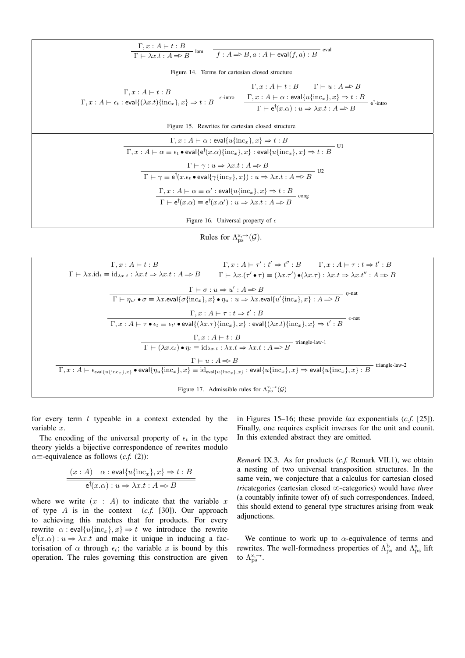| $\frac{\Gamma, x:A \vdash t:B}{\Gamma \vdash \lambda x.t:A \Rightarrow B}$ lam $\frac{f:A \Rightarrow B, a:A \vdash \text{eval}(f,a):B}{f:A \Rightarrow B,A:A \vdash \text{eval}(f,a):B}$ eval                                                                                                                                                                                                                                                                                                                                                                                                                                                                                                                                               |  |  |
|----------------------------------------------------------------------------------------------------------------------------------------------------------------------------------------------------------------------------------------------------------------------------------------------------------------------------------------------------------------------------------------------------------------------------------------------------------------------------------------------------------------------------------------------------------------------------------------------------------------------------------------------------------------------------------------------------------------------------------------------|--|--|
| Figure 14. Terms for cartesian closed structure                                                                                                                                                                                                                                                                                                                                                                                                                                                                                                                                                                                                                                                                                              |  |  |
| $\Gamma, x:A \vdash t:B \qquad \Gamma \vdash u:A \Rightarrow B$<br>$\Gamma, x:A \vdash t:B$<br>$\epsilon$ -intro<br>$\frac{\Gamma, x : A \vdash \alpha : \text{eval}\{u\{\text{inc}_x\}, x\} \Rightarrow t : B}{\Gamma \vdash \epsilon^{\dagger}(x.\alpha) : u \Rightarrow \lambda x.t : A \Rightarrow B} \epsilon^{\dagger}$ -intro<br>$\Gamma, x : A \vdash \epsilon_t : \text{eval}\{(\lambda x.t)\{\text{inc}_x\}, x\} \Rightarrow t : B$                                                                                                                                                                                                                                                                                                |  |  |
| Figure 15. Rewrites for cartesian closed structure                                                                                                                                                                                                                                                                                                                                                                                                                                                                                                                                                                                                                                                                                           |  |  |
| $\Gamma, x:A \vdash \alpha : \mathsf{eval}\{u\{\text{inc}_x\}, x\} \Rightarrow t:B$<br>- U1<br>$\Gamma, x : A \vdash \alpha \equiv \epsilon_t \bullet \text{eval}\{\mathsf{e}^\dagger(x.\alpha)\{\text{inc}_x\}, x\} : \text{eval}\{u\{\text{inc}_x\}, x\} \Rightarrow t : B$<br>$\Gamma \vdash \gamma : u \Rightarrow \lambda x.t : A \Rightarrow B$<br>$-U2$<br>$\Gamma \vdash \gamma \equiv e^{\dagger}(x.\epsilon_t \bullet \text{eval}\{\gamma\{inc_x\},x\}): u \Rightarrow \lambda x.t : A \Rightarrow B$<br>$\Gamma, x : A \vdash \alpha \equiv \alpha' : \text{eval}\{u\{\text{inc}_x\}, x\} \Rightarrow t : B$<br>$\Gamma \vdash e^{\dagger}(x.\alpha) \equiv e^{\dagger}(x.\alpha') : u \Rightarrow \lambda x.t : A \Rightarrow B$ |  |  |
| Figure 16. Universal property of $\epsilon$                                                                                                                                                                                                                                                                                                                                                                                                                                                                                                                                                                                                                                                                                                  |  |  |

Rules for  $\Lambda_{\text{ps}}^{x, \rightarrow}(\mathcal{G})$ .

| $\Gamma, x:A \vdash t:B$<br>$\Gamma \vdash \lambda x \ldotp id_t \equiv id_{\lambda x.t} : \lambda x.t \Rightarrow \lambda x.t : A \Rightarrow B$                                                                                                                                   | $\Gamma, x : A \vdash \tau' : t' \Rightarrow t'' : B$ $\Gamma, x : A \vdash \tau : t \Rightarrow t' : B$<br>$\Gamma \vdash \lambda x. (\tau' \bullet \tau) \equiv (\lambda x. \tau') \bullet (\lambda x. \tau) : \lambda x. t \Rightarrow \lambda x. t'' : A \Rightarrow B$ |  |
|-------------------------------------------------------------------------------------------------------------------------------------------------------------------------------------------------------------------------------------------------------------------------------------|-----------------------------------------------------------------------------------------------------------------------------------------------------------------------------------------------------------------------------------------------------------------------------|--|
| $\Gamma \vdash \sigma : u \Rightarrow u' : A \Rightarrow B$<br>$n$ -nat<br>$\Gamma \vdash \eta_{u'} \bullet \sigma \equiv \lambda x.\text{eval}\{\sigma\{\text{inc}_x\},x\} \bullet \eta_u: u \Rightarrow \lambda x.\text{eval}\{u'\{\text{inc}_x\},x\} : A \Rightarrow B$          |                                                                                                                                                                                                                                                                             |  |
| $\Gamma$ , $x:A \vdash \tau : t \Rightarrow t' : B$<br>$\epsilon$ -nat<br>$\Gamma, x : A \vdash \tau \bullet \epsilon_t \equiv \epsilon_{t'} \bullet \text{eval}\{(\lambda x. \tau)\{ \text{inc}_x \}, x\} : \text{eval}\{(\lambda x. t)\{ \text{inc}_x \}, x\} \Rightarrow t' : B$ |                                                                                                                                                                                                                                                                             |  |
| $\Gamma, x:A \vdash t:B$<br>triangle-law-1<br>$\Gamma \vdash (\lambda x.\epsilon_t) \bullet \eta_t \equiv \overline{\mathrm{id}_{\lambda x.t}: \lambda x.t} \Rightarrow \lambda x.t : A \Rightarrow B$                                                                              |                                                                                                                                                                                                                                                                             |  |
| $\Gamma \vdash u : A \Rightarrow B$<br>triangle-law-2<br>$\Gamma, x : A \vdash \epsilon_{eval{u}\{inc_x\},x\}$ • eval $\{\eta_u\{inc_x\},x\} \equiv id_{eval{u}\{inc_x\},x} : eval{u}\{inc_x\},x\} \Rightarrow eval{u}\{inc_x\},x\} : B$                                            |                                                                                                                                                                                                                                                                             |  |
| Figure 17. Admissible rules for $\Lambda_{\text{ns}}^{x, \rightarrow}(\mathcal{G})$                                                                                                                                                                                                 |                                                                                                                                                                                                                                                                             |  |

for every term  $t$  typeable in a context extended by the variable  $x$ .

The encoding of the universal property of  $\epsilon_t$  in the type theory yields a bijective correspondence of rewrites modulo  $\alpha$ =-equivalence as follows (*c.f.* (2)):

$$
\frac{(x:A) \quad \alpha : \text{eval}\{u\{\text{inc}_x\}, x\} \Rightarrow t : B}{\text{e}^{\dagger}(x.\alpha) : u \Rightarrow \lambda x. t : A \Rightarrow B}
$$

where we write  $(x : A)$  to indicate that the variable x of type A is in the context  $(c.f. [30])$ . Our approach to achieving this matches that for products. For every rewrite  $\alpha$ : eval $\{u\{\text{inc}_x\},x\} \Rightarrow t$  we introduce the rewrite  $e^{\dagger}(x,\alpha): u \Rightarrow \lambda x. t$  and make it unique in inducing a factorisation of  $\alpha$  through  $\epsilon_t$ ; the variable x is bound by this operation. The rules governing this construction are given

in Figures 15–16; these provide lax exponentials  $(c.f. [25])$ . Finally, one requires explicit inverses for the unit and counit. In this extended abstract they are omitted.

Remark IX.3. As for products (c.f. Remark VII.1), we obtain a nesting of two universal transposition structures. In the same vein, we conjecture that a calculus for cartesian closed tricategories (cartesian closed  $\infty$ -categories) would have three (a countably infinite tower of) of such correspondences. Indeed, this should extend to general type structures arising from weak adjunctions.

We continue to work up to  $\alpha$ -equivalence of terms and rewrites. The well-formedness properties of  $\Lambda_{\text{ps}}^{\text{b}}$  and  $\Lambda_{\text{ps}}^{\text{x}}$  lift to  $\Lambda_{\text{ps}}^{x, \rightarrow}$ .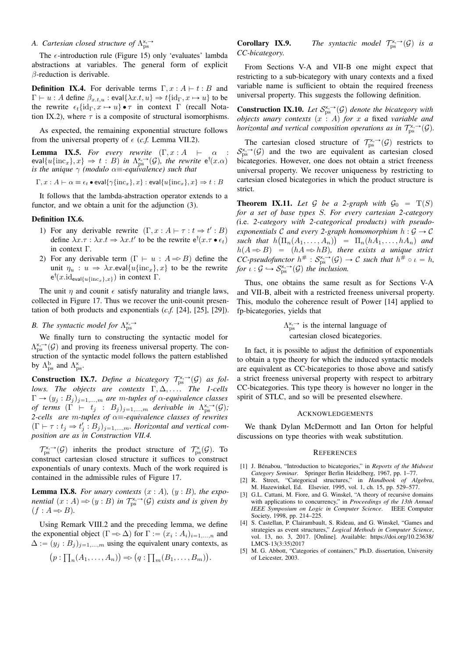# A. Cartesian closed structure of  $\Lambda^{x, \rightarrow}_{ps}$

The  $\epsilon$ -introduction rule (Figure 15) only 'evaluates' lambda abstractions at variables. The general form of explicit  $\beta$ -reduction is derivable.

**Definition IX.4.** For derivable terms  $\Gamma, x : A \vdash t : B$  and  $\Gamma \vdash u : A$  define  $\beta_{x,t,u} : \text{eval}\{\lambda x.t, u\} \Rightarrow t\{\text{id}_{\Gamma}, x \mapsto u\}$  to be the rewrite  $\epsilon_t \{ id_\Gamma, x \mapsto u \} \bullet \tau$  in context Γ (recall Notation IX.2), where  $\tau$  is a composite of structural isomorphisms.

As expected, the remaining exponential structure follows from the universal property of  $\epsilon$  (*c.f.* Lemma VII.2).

**Lemma IX.5.** For every rewrite  $(\Gamma, x : A \models \alpha :$  $eval\{u\{\text{inc}_x\},x\} \Rightarrow t : B)$  in  $\Lambda^{x, \rightarrow}_{ps}(\mathcal{G})$ , the rewrite  $e^{\dagger}(x.\alpha)$ *is the unique*  $\gamma$  *(modulo*  $\alpha$  $\equiv$ *-equivalence) such that* 

$$
\Gamma, x : A \vdash \alpha \equiv \epsilon_t \bullet \text{eval}\{\gamma\{\text{inc}_x\}, x\} : \text{eval}\{u\{\text{inc}_x\}, x\} \Rightarrow t : B
$$

It follows that the lambda-abstraction operator extends to a functor, and we obtain a unit for the adjunction (3).

### Definition IX.6.

- 1) For any derivable rewrite  $(\Gamma, x : A \vdash \tau : t \Rightarrow t' : B)$ define  $\lambda x.\tau : \lambda x.t \Rightarrow \lambda x.t'$  to be the rewrite  $e^{\dagger}(x.\tau \bullet \epsilon_t)$ in context Γ.
- 2) For any derivable term  $(\Gamma \vdash u : A \Rightarrow B)$  define the unit  $\eta_u : u \Rightarrow \lambda x.\text{eval}\{u\{\text{inc}_x\},x\}$  to be the rewrite  $e^{\dagger}(x.\text{id}_{eval{u}\{\text{inc}_x\},x\})$  in context  $\Gamma$ .

The unit  $\eta$  and counit  $\epsilon$  satisfy naturality and triangle laws, collected in Figure 17. Thus we recover the unit-counit presentation of both products and exponentials (*c.f.* [24], [25], [29]).

# *B.* The syntactic model for  $\Lambda_{\rm ps}^{\rm x, \rightarrow}$

We finally turn to constructing the syntactic model for  $\Lambda_{\text{ps}}^{\times, \rightarrow}(\mathcal{G})$  and proving its freeness universal property. The construction of the syntactic model follows the pattern established by  $\Lambda_{\text{ps}}^{\text{b}}$  and  $\Lambda_{\text{ps}}^{\text{x}}$ .

**Construction IX.7.** Define a bicategory  $\mathcal{T}_{\text{ps}}^{x, \rightarrow}(\mathcal{G})$  as fol*lows. The objects are contexts* Γ, ∆, . . . *. The 1-cells*  $\Gamma \rightarrow (y_j : B_j)_{j=1,...,m}$  *are m-tuples of*  $\alpha$ *-equivalence classes of terms*  $(\Gamma \vdash t_j : B_j)_{j=1,\dots,m}$  *derivable in*  $\Lambda^{x, \rightarrow}_{ps}(\mathcal{G})$ ; *2-cells are m-tuples of* α≡-equivalence classes of rewrites  $(\Gamma \vdash \tau : t_j \Rightarrow t'_j : B_j)_{j=1,\dots,m}$ *. Horizontal and vertical composition are as in Construction VII.4.*

 $\mathcal{T}_{\text{ps}}^{\times,\to}(\mathcal{G})$  inherits the product structure of  $\mathcal{T}_{\text{ps}}^{\times}(\mathcal{G})$ . To construct cartesian closed structure it suffices to construct exponentials of unary contexts. Much of the work required is contained in the admissible rules of Figure 17.

**Lemma IX.8.** For unary contexts  $(x : A)$ ,  $(y : B)$ , the expo*nential*  $(x : A) \Rightarrow (y : B)$  *in*  $\mathcal{T}_{ps}^{x, \rightarrow}(G)$  *exists and is given by*  $(f : A \Rightarrow B)$ .

Using Remark VIII.2 and the preceding lemma, we define the exponential object  $(\Gamma \Rightarrow \Delta)$  for  $\Gamma := (x_i : A_i)_{i=1,\dots,n}$  and  $\Delta := (y_j : B_j)_{j=1,...,m}$  using the equivalent unary contexts, as

$$
(p:\prod_n(A_1,\ldots,A_n))\Rightarrow (q:\prod_m(B_1,\ldots,B_m)).
$$

**Corollary IX.9.** *The syntactic model*  $\mathcal{T}_{\text{ps}}^{x, \rightarrow}(\mathcal{G})$  *is a CC-bicategory.*

From Sections V-A and VII-B one might expect that restricting to a sub-bicategory with unary contexts and a fixed variable name is sufficient to obtain the required freeness universal property. This suggests the following definition.

**Construction IX.10.** Let  $S_{\text{ps}}^{x, \to}(\mathcal{G})$  denote the bicategory with *objects unary contexts*  $(x : A)$  *for*  $x$  *a* fixed *variable and horizontal and vertical composition operations as in*  $\mathcal{T}_{\text{ps}}^{x, \rightarrow}(\mathcal{G})$ .

The cartesian closed structure of  $\mathcal{T}_{\text{ps}}^{x, \rightarrow}(\mathcal{G})$  restricts to  $S_{\rm ps}^{\rm x, \rightarrow}$  (G) and the two are equivalent as cartesian closed bicategories. However, one does not obtain a strict freeness universal property. We recover uniqueness by restricting to cartesian closed bicategories in which the product structure is strict.

**Theorem IX.11.** Let G be a 2-graph with  $\mathcal{G}_0 = T(S)$ *for a set of base types* S*. For every cartesian 2-category (*i.e. *2-category with 2-categorical products) with pseudo*exponentials  $C$  and every 2-graph homomorphism  $h: \mathcal{G} \to \mathcal{C}$  $\mathit{such that} \ \ h\big(\Pi_n(A_1,\ldots,A_n)\big) \ = \ \Pi_n(hA_1,\ldots,hA_n) \ \ and$  $h(A \Rightarrow B) = (hA \Rightarrow hB)$ , there exists a unique strict *CC*-pseudofunctor  $h^{\#}: S_{\text{ps}}^{x, \to}(\mathcal{G}) \to \mathcal{C}$  such that  $h^{\#} \circ \iota = h$ , *for*  $\iota$  :  $\mathcal{G} \hookrightarrow \mathcal{S}_{\mathrm{ps}}^{\times,-}(\mathcal{G})$  the inclusion.

Thus, one obtains the same result as for Sections V-A and VII-B, albeit with a restricted freeness universal property. This, modulo the coherence result of Power [14] applied to fp-bicategories, yields that

> $\Lambda_{\rm ps}^{\times, \rightarrow}$  is the internal language of cartesian closed bicategories.

In fact, it is possible to adjust the definition of exponentials to obtain a type theory for which the induced syntactic models are equivalent as CC-bicategories to those above and satisfy a strict freeness universal property with respect to arbitrary CC-bicategories. This type theory is however no longer in the spirit of STLC, and so will be presented elsewhere.

#### ACKNOWLEDGEMENTS

We thank Dylan McDermott and Ian Orton for helpful discussions on type theories with weak substitution.

#### **REFERENCES**

- [1] J. Bénabou, "Introduction to bicategories," in *Reports of the Midwest Category Seminar*. Springer Berlin Heidelberg, 1967, pp. 1–77.
- [2] R. Street, "Categorical structures," in *Handbook of Algebra*, M. Hazewinkel, Ed. Elsevier, 1995, vol. 1, ch. 15, pp. 529–577.
- [3] G.L. Cattani, M. Fiore, and G. Winskel, "A theory of recursive domains with applications to concurrency," in *Proceedings of the 13th Annual IEEE Symposium on Logic in Computer Science*. IEEE Computer Society, 1998, pp. 214–225.
- [4] S. Castellan, P. Clairambault, S. Rideau, and G. Winskel, "Games and strategies as event structures," *Logical Methods in Computer Science*, vol. 13, no. 3, 2017. [Online]. Available: https://doi.org/10.23638/ LMCS-13(3:35)2017
- [5] M. G. Abbott, "Categories of containers," Ph.D. dissertation, University of Leicester, 2003.